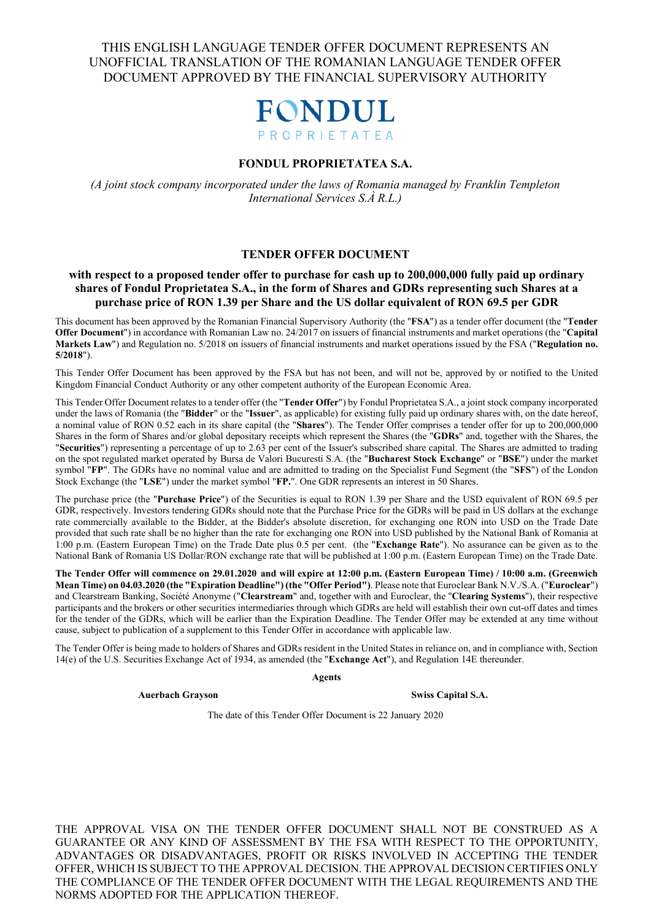

#### **FONDUL PROPRIETATEA S.A.**

*(A joint stock company incorporated under the laws of Romania managed by Franklin Templeton International Services S.À R.L.)*

#### **TENDER OFFER DOCUMENT**

#### **with respect to a proposed tender offer to purchase for cash up to 200,000,000 fully paid up ordinary shares of Fondul Proprietatea S.A., in the form of Shares and GDRs representing such Shares at a purchase price of RON 1.39 per Share and the US dollar equivalent of RON 69.5 per GDR**

This document has been approved by the Romanian Financial Supervisory Authority (the "**FSA**") as a tender offer document (the "**Tender Offer Document**") in accordance with Romanian Law no. 24/2017 on issuers of financial instruments and market operations (the "**Capital Markets Law**") and Regulation no. 5/2018 on issuers of financial instruments and market operations issued by the FSA ("**Regulation no. 5/2018**").

This Tender Offer Document has been approved by the FSA but has not been, and will not be, approved by or notified to the United Kingdom Financial Conduct Authority or any other competent authority of the European Economic Area.

This Tender Offer Document relates to a tender offer (the "**Tender Offer**") by Fondul Proprietatea S.A., a joint stock company incorporated under the laws of Romania (the "**Bidder**" or the "**Issuer**", as applicable) for existing fully paid up ordinary shares with, on the date hereof, a nominal value of RON 0.52 each in its share capital (the "**Shares**"). The Tender Offer comprises a tender offer for up to 200,000,000 Shares in the form of Shares and/or global depositary receipts which represent the Shares (the "**GDRs**" and, together with the Shares, the "**Securities**") representing a percentage of up to 2.63 per cent of the Issuer's subscribed share capital. The Shares are admitted to trading on the spot regulated market operated by Bursa de Valori Bucuresti S.A. (the "**Bucharest Stock Exchange**" or "**BSE**") under the market symbol "**FP**". The GDRs have no nominal value and are admitted to trading on the Specialist Fund Segment (the "**SFS**") of the London Stock Exchange (the "**LSE**") under the market symbol "**FP.**". One GDR represents an interest in 50 Shares.

The purchase price (the "**Purchase Price**") of the Securities is equal to RON 1.39 per Share and the USD equivalent of RON 69.5 per GDR, respectively. Investors tendering GDRs should note that the Purchase Price for the GDRs will be paid in US dollars at the exchange rate commercially available to the Bidder, at the Bidder's absolute discretion, for exchanging one RON into USD on the Trade Date provided that such rate shall be no higher than the rate for exchanging one RON into USD published by the National Bank of Romania at 1:00 p.m. (Eastern European Time) on the Trade Date plus 0.5 per cent. (the "**Exchange Rate**"). No assurance can be given as to the National Bank of Romania US Dollar/RON exchange rate that will be published at 1:00 p.m. (Eastern European Time) on the Trade Date.

**The Tender Offer will commence on 29.01.2020 and will expire at 12:00 p.m. (Eastern European Time) / 10:00 a.m. (Greenwich Mean Time) on 04.03.2020 (the "Expiration Deadline") (the "Offer Period")**. Please note that Euroclear Bank N.V./S.A. ("**Euroclear**") and Clearstream Banking, Société Anonyme ("**Clearstream**" and, together with and Euroclear, the "**Clearing Systems**"), their respective participants and the brokers or other securities intermediaries through which GDRs are held will establish their own cut-off dates and times for the tender of the GDRs, which will be earlier than the Expiration Deadline. The Tender Offer may be extended at any time without cause, subject to publication of a supplement to this Tender Offer in accordance with applicable law.

The Tender Offer is being made to holders of Shares and GDRs resident in the United States in reliance on, and in compliance with, Section 14(e) of the U.S. Securities Exchange Act of 1934, as amended (the "**Exchange Act**"), and Regulation 14E thereunder.

**Agents**

**Auerbach Grayson Swiss Capital S.A.**

The date of this Tender Offer Document is 22 January 2020

THE APPROVAL VISA ON THE TENDER OFFER DOCUMENT SHALL NOT BE CONSTRUED AS A GUARANTEE OR ANY KIND OF ASSESSMENT BY THE FSA WITH RESPECT TO THE OPPORTUNITY, ADVANTAGES OR DISADVANTAGES, PROFIT OR RISKS INVOLVED IN ACCEPTING THE TENDER OFFER, WHICH IS SUBJECT TO THE APPROVAL DECISION. THE APPROVAL DECISION CERTIFIES ONLY THE COMPLIANCE OF THE TENDER OFFER DOCUMENT WITH THE LEGAL REQUIREMENTS AND THE NORMS ADOPTED FOR THE APPLICATION THEREOF.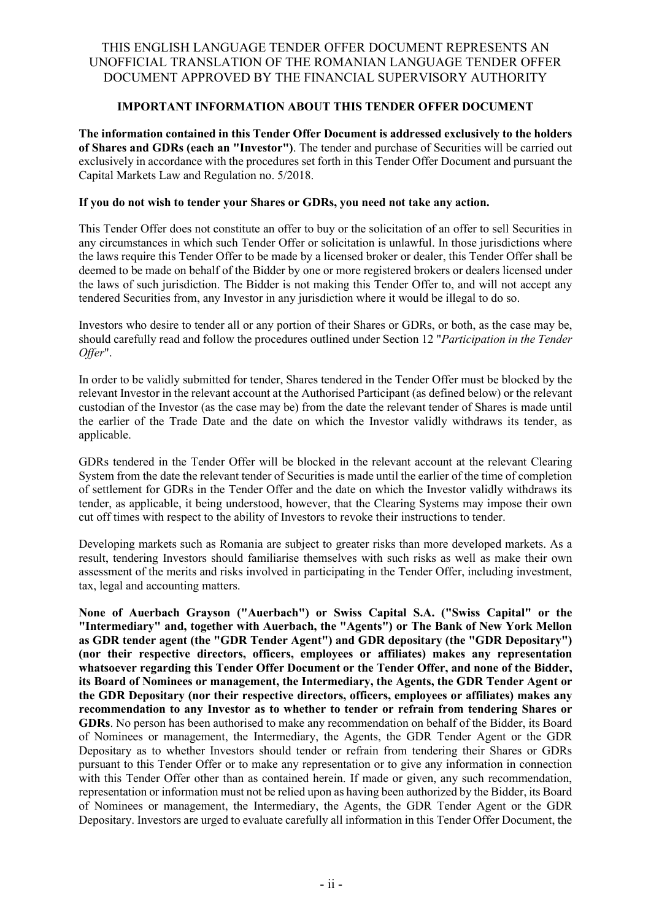## **IMPORTANT INFORMATION ABOUT THIS TENDER OFFER DOCUMENT**

**The information contained in this Tender Offer Document is addressed exclusively to the holders of Shares and GDRs (each an "Investor")**. The tender and purchase of Securities will be carried out exclusively in accordance with the procedures set forth in this Tender Offer Document and pursuant the Capital Markets Law and Regulation no. 5/2018.

### **If you do not wish to tender your Shares or GDRs, you need not take any action.**

This Tender Offer does not constitute an offer to buy or the solicitation of an offer to sell Securities in any circumstances in which such Tender Offer or solicitation is unlawful. In those jurisdictions where the laws require this Tender Offer to be made by a licensed broker or dealer, this Tender Offer shall be deemed to be made on behalf of the Bidder by one or more registered brokers or dealers licensed under the laws of such jurisdiction. The Bidder is not making this Tender Offer to, and will not accept any tendered Securities from, any Investor in any jurisdiction where it would be illegal to do so.

Investors who desire to tender all or any portion of their Shares or GDRs, or both, as the case may be, should carefully read and follow the procedures outlined under Section 12 "*Participation in the Tender Offer*".

In order to be validly submitted for tender, Shares tendered in the Tender Offer must be blocked by the relevant Investor in the relevant account at the Authorised Participant (as defined below) or the relevant custodian of the Investor (as the case may be) from the date the relevant tender of Shares is made until the earlier of the Trade Date and the date on which the Investor validly withdraws its tender, as applicable.

GDRs tendered in the Tender Offer will be blocked in the relevant account at the relevant Clearing System from the date the relevant tender of Securities is made until the earlier of the time of completion of settlement for GDRs in the Tender Offer and the date on which the Investor validly withdraws its tender, as applicable, it being understood, however, that the Clearing Systems may impose their own cut off times with respect to the ability of Investors to revoke their instructions to tender.

Developing markets such as Romania are subject to greater risks than more developed markets. As a result, tendering Investors should familiarise themselves with such risks as well as make their own assessment of the merits and risks involved in participating in the Tender Offer, including investment, tax, legal and accounting matters.

**None of Auerbach Grayson ("Auerbach") or Swiss Capital S.A. ("Swiss Capital" or the "Intermediary" and, together with Auerbach, the "Agents") or The Bank of New York Mellon as GDR tender agent (the "GDR Tender Agent") and GDR depositary (the "GDR Depositary") (nor their respective directors, officers, employees or affiliates) makes any representation whatsoever regarding this Tender Offer Document or the Tender Offer, and none of the Bidder, its Board of Nominees or management, the Intermediary, the Agents, the GDR Tender Agent or the GDR Depositary (nor their respective directors, officers, employees or affiliates) makes any recommendation to any Investor as to whether to tender or refrain from tendering Shares or GDRs**. No person has been authorised to make any recommendation on behalf of the Bidder, its Board of Nominees or management, the Intermediary, the Agents, the GDR Tender Agent or the GDR Depositary as to whether Investors should tender or refrain from tendering their Shares or GDRs pursuant to this Tender Offer or to make any representation or to give any information in connection with this Tender Offer other than as contained herein. If made or given, any such recommendation, representation or information must not be relied upon as having been authorized by the Bidder, its Board of Nominees or management, the Intermediary, the Agents, the GDR Tender Agent or the GDR Depositary. Investors are urged to evaluate carefully all information in this Tender Offer Document, the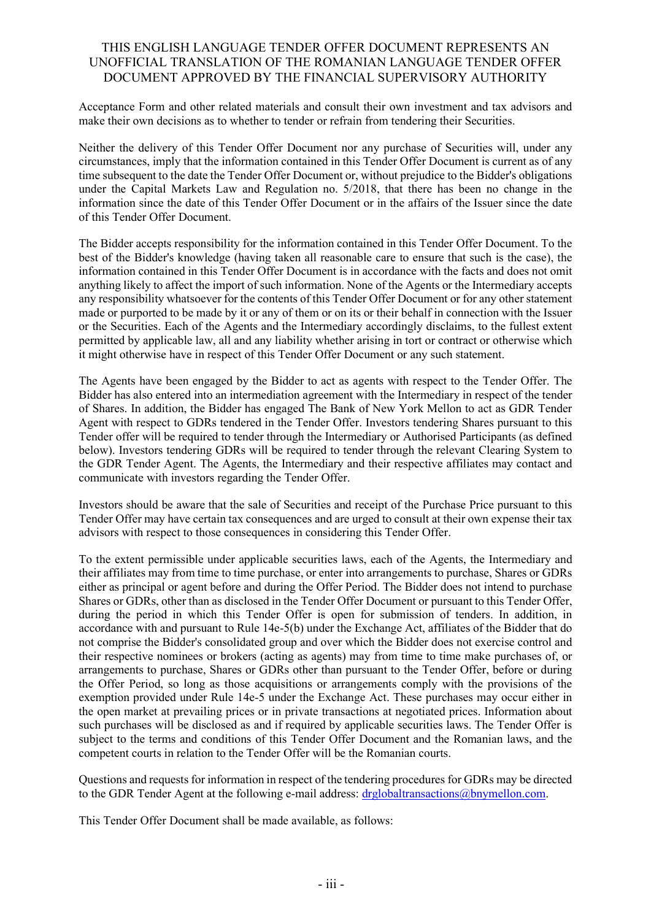Acceptance Form and other related materials and consult their own investment and tax advisors and make their own decisions as to whether to tender or refrain from tendering their Securities.

Neither the delivery of this Tender Offer Document nor any purchase of Securities will, under any circumstances, imply that the information contained in this Tender Offer Document is current as of any time subsequent to the date the Tender Offer Document or, without prejudice to the Bidder's obligations under the Capital Markets Law and Regulation no. 5/2018, that there has been no change in the information since the date of this Tender Offer Document or in the affairs of the Issuer since the date of this Tender Offer Document.

The Bidder accepts responsibility for the information contained in this Tender Offer Document. To the best of the Bidder's knowledge (having taken all reasonable care to ensure that such is the case), the information contained in this Tender Offer Document is in accordance with the facts and does not omit anything likely to affect the import of such information. None of the Agents or the Intermediary accepts any responsibility whatsoever for the contents of this Tender Offer Document or for any other statement made or purported to be made by it or any of them or on its or their behalf in connection with the Issuer or the Securities. Each of the Agents and the Intermediary accordingly disclaims, to the fullest extent permitted by applicable law, all and any liability whether arising in tort or contract or otherwise which it might otherwise have in respect of this Tender Offer Document or any such statement.

The Agents have been engaged by the Bidder to act as agents with respect to the Tender Offer. The Bidder has also entered into an intermediation agreement with the Intermediary in respect of the tender of Shares. In addition, the Bidder has engaged The Bank of New York Mellon to act as GDR Tender Agent with respect to GDRs tendered in the Tender Offer. Investors tendering Shares pursuant to this Tender offer will be required to tender through the Intermediary or Authorised Participants (as defined below). Investors tendering GDRs will be required to tender through the relevant Clearing System to the GDR Tender Agent. The Agents, the Intermediary and their respective affiliates may contact and communicate with investors regarding the Tender Offer.

Investors should be aware that the sale of Securities and receipt of the Purchase Price pursuant to this Tender Offer may have certain tax consequences and are urged to consult at their own expense their tax advisors with respect to those consequences in considering this Tender Offer.

To the extent permissible under applicable securities laws, each of the Agents, the Intermediary and their affiliates may from time to time purchase, or enter into arrangements to purchase, Shares or GDRs either as principal or agent before and during the Offer Period. The Bidder does not intend to purchase Shares or GDRs, other than as disclosed in the Tender Offer Document or pursuant to this Tender Offer, during the period in which this Tender Offer is open for submission of tenders. In addition, in accordance with and pursuant to Rule 14e-5(b) under the Exchange Act, affiliates of the Bidder that do not comprise the Bidder's consolidated group and over which the Bidder does not exercise control and their respective nominees or brokers (acting as agents) may from time to time make purchases of, or arrangements to purchase, Shares or GDRs other than pursuant to the Tender Offer, before or during the Offer Period, so long as those acquisitions or arrangements comply with the provisions of the exemption provided under Rule 14e-5 under the Exchange Act. These purchases may occur either in the open market at prevailing prices or in private transactions at negotiated prices. Information about such purchases will be disclosed as and if required by applicable securities laws. The Tender Offer is subject to the terms and conditions of this Tender Offer Document and the Romanian laws, and the competent courts in relation to the Tender Offer will be the Romanian courts.

Questions and requests for information in respect of the tendering procedures for GDRs may be directed to the GDR Tender Agent at the following e-mail address: [drglobaltransactions@bnymellon.com.](http://www.treasury.gov/resource-center/sanctions/SDN-List/Pages/ssi_list.aspx)

This Tender Offer Document shall be made available, as follows: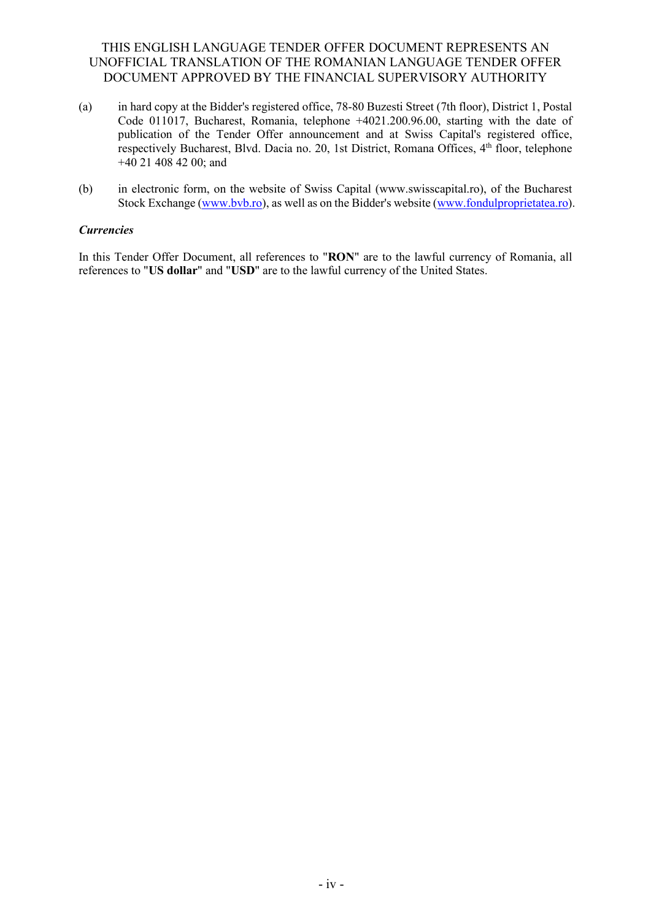- (a) in hard copy at the Bidder's registered office, 78-80 Buzesti Street (7th floor), District 1, Postal Code 011017, Bucharest, Romania, telephone +4021.200.96.00, starting with the date of publication of the Tender Offer announcement and at Swiss Capital's registered office, respectively Bucharest, Blvd. Dacia no. 20, 1st District, Romana Offices, 4<sup>th</sup> floor, telephone  $+40$  21 408 42 00; and
- (b) in electronic form, on the website of Swiss Capital (www.swisscapital.ro), of the Bucharest Stock Exchange [\(www.bvb.ro\)](http://www.bvb.ro/), as well as on the Bidder's website [\(www.fondulproprietatea.ro\)](http://www.fondulproprietatea.ro/).

### *Currencies*

In this Tender Offer Document, all references to "**RON**" are to the lawful currency of Romania, all references to "**US dollar**" and "**USD**" are to the lawful currency of the United States.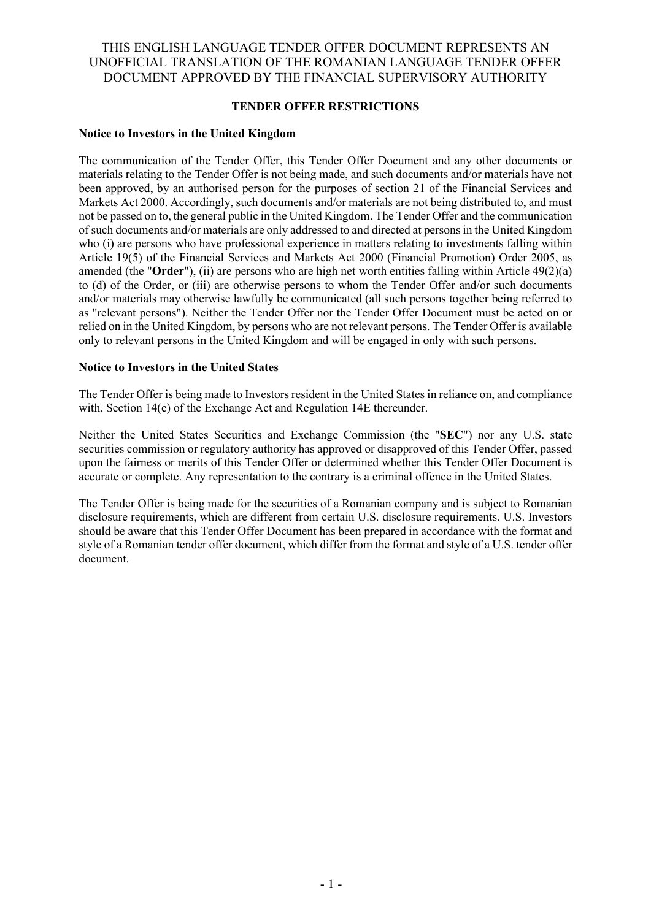### **TENDER OFFER RESTRICTIONS**

### **Notice to Investors in the United Kingdom**

The communication of the Tender Offer, this Tender Offer Document and any other documents or materials relating to the Tender Offer is not being made, and such documents and/or materials have not been approved, by an authorised person for the purposes of section 21 of the Financial Services and Markets Act 2000. Accordingly, such documents and/or materials are not being distributed to, and must not be passed on to, the general public in the United Kingdom. The Tender Offer and the communication of such documents and/or materials are only addressed to and directed at persons in the United Kingdom who (i) are persons who have professional experience in matters relating to investments falling within Article 19(5) of the Financial Services and Markets Act 2000 (Financial Promotion) Order 2005, as amended (the "**Order**"), (ii) are persons who are high net worth entities falling within Article 49(2)(a) to (d) of the Order, or (iii) are otherwise persons to whom the Tender Offer and/or such documents and/or materials may otherwise lawfully be communicated (all such persons together being referred to as "relevant persons"). Neither the Tender Offer nor the Tender Offer Document must be acted on or relied on in the United Kingdom, by persons who are not relevant persons. The Tender Offer is available only to relevant persons in the United Kingdom and will be engaged in only with such persons.

### **Notice to Investors in the United States**

The Tender Offer is being made to Investors resident in the United States in reliance on, and compliance with, Section 14(e) of the Exchange Act and Regulation 14E thereunder.

Neither the United States Securities and Exchange Commission (the "**SEC**") nor any U.S. state securities commission or regulatory authority has approved or disapproved of this Tender Offer, passed upon the fairness or merits of this Tender Offer or determined whether this Tender Offer Document is accurate or complete. Any representation to the contrary is a criminal offence in the United States.

The Tender Offer is being made for the securities of a Romanian company and is subject to Romanian disclosure requirements, which are different from certain U.S. disclosure requirements. U.S. Investors should be aware that this Tender Offer Document has been prepared in accordance with the format and style of a Romanian tender offer document, which differ from the format and style of a U.S. tender offer document.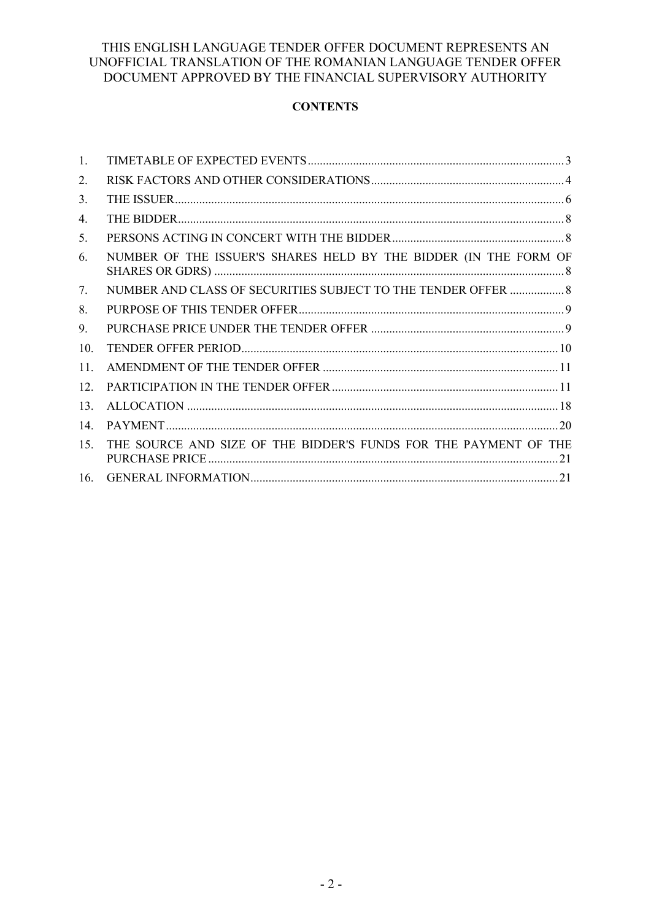# **CONTENTS**

| 1.              |                                                                  |
|-----------------|------------------------------------------------------------------|
| 2.              |                                                                  |
| 3.              |                                                                  |
| 4.              |                                                                  |
| 5.              |                                                                  |
| 6.              | NUMBER OF THE ISSUER'S SHARES HELD BY THE BIDDER (IN THE FORM OF |
| 7.              | NUMBER AND CLASS OF SECURITIES SUBJECT TO THE TENDER OFFER  8    |
| 8.              |                                                                  |
| 9.              |                                                                  |
| 10.             |                                                                  |
| 11.             |                                                                  |
| 12 <sub>1</sub> |                                                                  |
| 13.             |                                                                  |
| 14.             |                                                                  |
| 15.             | THE SOURCE AND SIZE OF THE BIDDER'S FUNDS FOR THE PAYMENT OF THE |
| 16.             |                                                                  |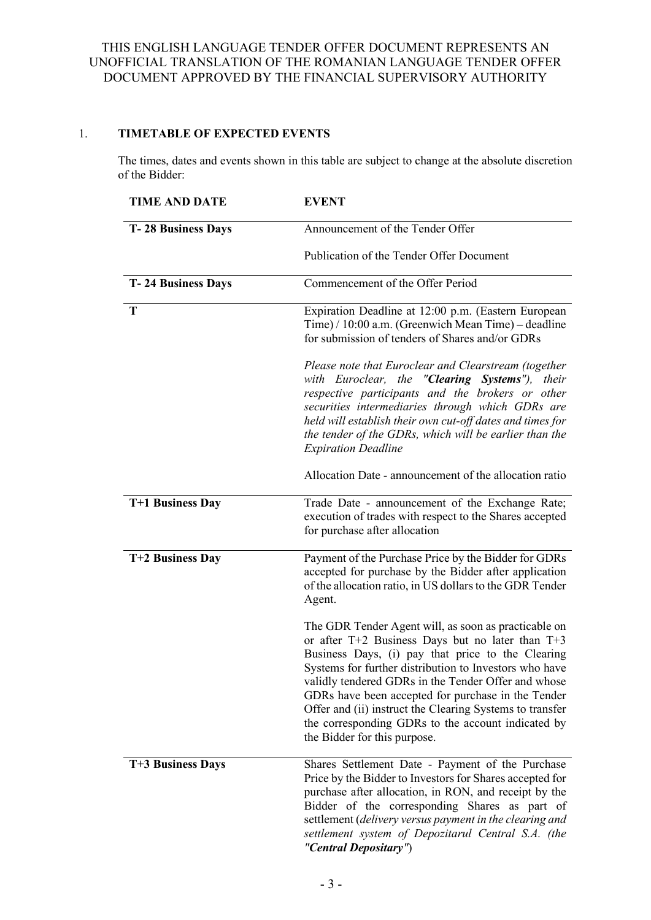## <span id="page-6-0"></span>1. **TIMETABLE OF EXPECTED EVENTS**

The times, dates and events shown in this table are subject to change at the absolute discretion of the Bidder:

| <b>TIME AND DATE</b>      | <b>EVENT</b>                                                                                                                                                                                                                                                                                                                                                                                                                                                                               |  |  |
|---------------------------|--------------------------------------------------------------------------------------------------------------------------------------------------------------------------------------------------------------------------------------------------------------------------------------------------------------------------------------------------------------------------------------------------------------------------------------------------------------------------------------------|--|--|
| <b>T-28 Business Days</b> | Announcement of the Tender Offer                                                                                                                                                                                                                                                                                                                                                                                                                                                           |  |  |
|                           | Publication of the Tender Offer Document                                                                                                                                                                                                                                                                                                                                                                                                                                                   |  |  |
| <b>T-24 Business Days</b> | Commencement of the Offer Period                                                                                                                                                                                                                                                                                                                                                                                                                                                           |  |  |
| T                         | Expiration Deadline at 12:00 p.m. (Eastern European<br>Time) / 10:00 a.m. (Greenwich Mean Time) – deadline<br>for submission of tenders of Shares and/or GDRs                                                                                                                                                                                                                                                                                                                              |  |  |
|                           | Please note that Euroclear and Clearstream (together<br>with Euroclear, the " <b>Clearing Systems</b> "),<br>their<br>respective participants and the brokers or other<br>securities intermediaries through which GDRs are<br>held will establish their own cut-off dates and times for<br>the tender of the GDRs, which will be earlier than the<br><b>Expiration Deadline</b>                                                                                                            |  |  |
|                           | Allocation Date - announcement of the allocation ratio                                                                                                                                                                                                                                                                                                                                                                                                                                     |  |  |
| T+1 Business Day          | Trade Date - announcement of the Exchange Rate;<br>execution of trades with respect to the Shares accepted<br>for purchase after allocation                                                                                                                                                                                                                                                                                                                                                |  |  |
| T+2 Business Day          | Payment of the Purchase Price by the Bidder for GDRs<br>accepted for purchase by the Bidder after application<br>of the allocation ratio, in US dollars to the GDR Tender<br>Agent.                                                                                                                                                                                                                                                                                                        |  |  |
|                           | The GDR Tender Agent will, as soon as practicable on<br>or after $T+2$ Business Days but no later than $T+3$<br>Business Days, (i) pay that price to the Clearing<br>Systems for further distribution to Investors who have<br>validly tendered GDRs in the Tender Offer and whose<br>GDRs have been accepted for purchase in the Tender<br>Offer and (ii) instruct the Clearing Systems to transfer<br>the corresponding GDRs to the account indicated by<br>the Bidder for this purpose. |  |  |
| T+3 Business Days         | Shares Settlement Date - Payment of the Purchase<br>Price by the Bidder to Investors for Shares accepted for<br>purchase after allocation, in RON, and receipt by the<br>Bidder of the corresponding Shares as part of<br>settlement (delivery versus payment in the clearing and<br>settlement system of Depozitarul Central S.A. (the<br>"Central Depositary")                                                                                                                           |  |  |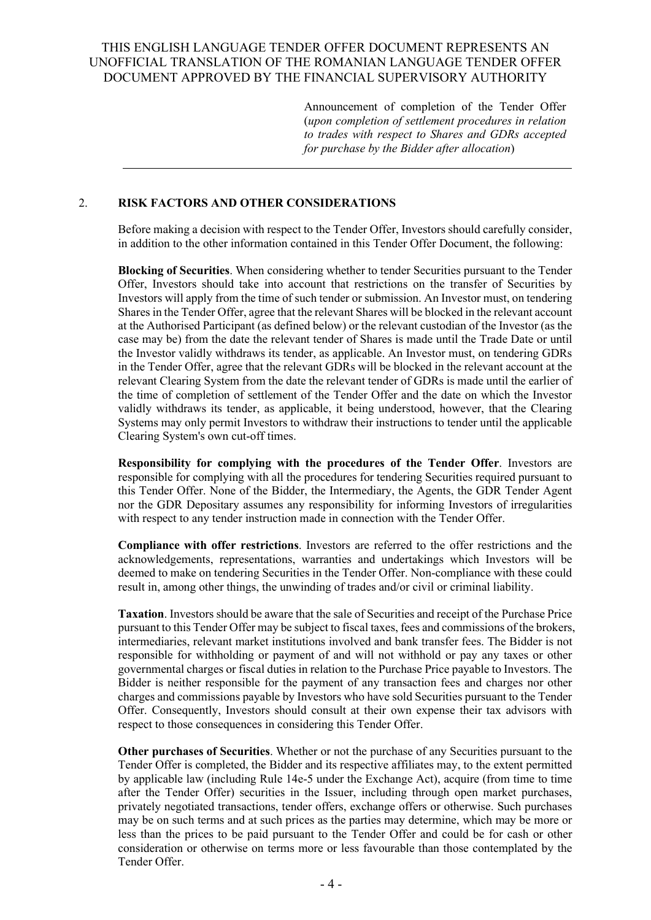Announcement of completion of the Tender Offer (*upon completion of settlement procedures in relation to trades with respect to Shares and GDRs accepted for purchase by the Bidder after allocation*)

### <span id="page-7-0"></span>2. **RISK FACTORS AND OTHER CONSIDERATIONS**

Before making a decision with respect to the Tender Offer, Investors should carefully consider, in addition to the other information contained in this Tender Offer Document, the following:

**Blocking of Securities**. When considering whether to tender Securities pursuant to the Tender Offer, Investors should take into account that restrictions on the transfer of Securities by Investors will apply from the time of such tender or submission. An Investor must, on tendering Shares in the Tender Offer, agree that the relevant Shares will be blocked in the relevant account at the Authorised Participant (as defined below) or the relevant custodian of the Investor (as the case may be) from the date the relevant tender of Shares is made until the Trade Date or until the Investor validly withdraws its tender, as applicable. An Investor must, on tendering GDRs in the Tender Offer, agree that the relevant GDRs will be blocked in the relevant account at the relevant Clearing System from the date the relevant tender of GDRs is made until the earlier of the time of completion of settlement of the Tender Offer and the date on which the Investor validly withdraws its tender, as applicable, it being understood, however, that the Clearing Systems may only permit Investors to withdraw their instructions to tender until the applicable Clearing System's own cut-off times.

**Responsibility for complying with the procedures of the Tender Offer**. Investors are responsible for complying with all the procedures for tendering Securities required pursuant to this Tender Offer. None of the Bidder, the Intermediary, the Agents, the GDR Tender Agent nor the GDR Depositary assumes any responsibility for informing Investors of irregularities with respect to any tender instruction made in connection with the Tender Offer.

**Compliance with offer restrictions**. Investors are referred to the offer restrictions and the acknowledgements, representations, warranties and undertakings which Investors will be deemed to make on tendering Securities in the Tender Offer. Non-compliance with these could result in, among other things, the unwinding of trades and/or civil or criminal liability.

**Taxation**. Investors should be aware that the sale of Securities and receipt of the Purchase Price pursuant to this Tender Offer may be subject to fiscal taxes, fees and commissions of the brokers, intermediaries, relevant market institutions involved and bank transfer fees. The Bidder is not responsible for withholding or payment of and will not withhold or pay any taxes or other governmental charges or fiscal duties in relation to the Purchase Price payable to Investors. The Bidder is neither responsible for the payment of any transaction fees and charges nor other charges and commissions payable by Investors who have sold Securities pursuant to the Tender Offer. Consequently, Investors should consult at their own expense their tax advisors with respect to those consequences in considering this Tender Offer.

**Other purchases of Securities**. Whether or not the purchase of any Securities pursuant to the Tender Offer is completed, the Bidder and its respective affiliates may, to the extent permitted by applicable law (including Rule 14e-5 under the Exchange Act), acquire (from time to time after the Tender Offer) securities in the Issuer, including through open market purchases, privately negotiated transactions, tender offers, exchange offers or otherwise. Such purchases may be on such terms and at such prices as the parties may determine, which may be more or less than the prices to be paid pursuant to the Tender Offer and could be for cash or other consideration or otherwise on terms more or less favourable than those contemplated by the Tender Offer.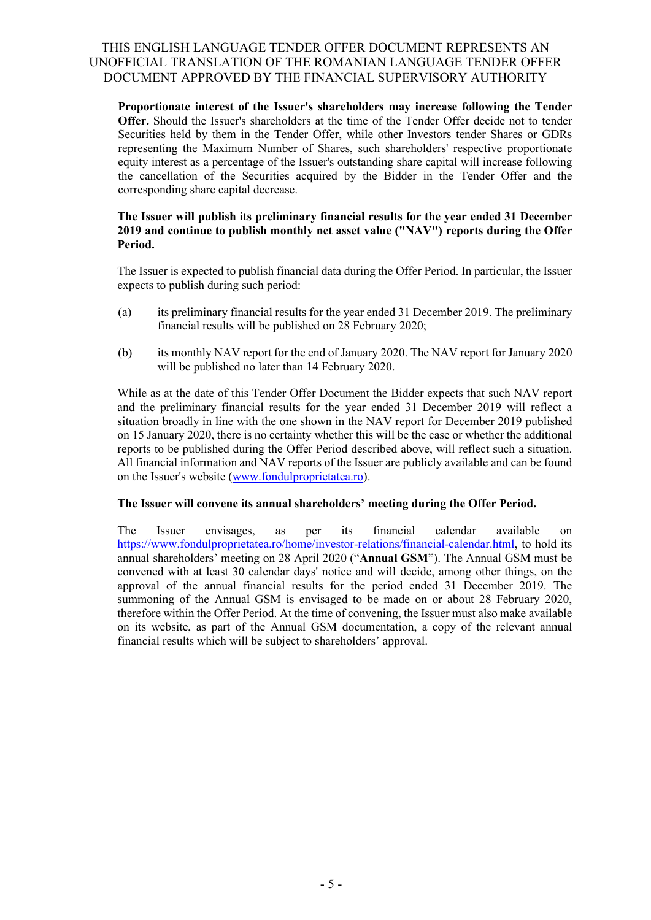**Proportionate interest of the Issuer's shareholders may increase following the Tender Offer.** Should the Issuer's shareholders at the time of the Tender Offer decide not to tender Securities held by them in the Tender Offer, while other Investors tender Shares or GDRs representing the Maximum Number of Shares, such shareholders' respective proportionate equity interest as a percentage of the Issuer's outstanding share capital will increase following the cancellation of the Securities acquired by the Bidder in the Tender Offer and the corresponding share capital decrease.

### **The Issuer will publish its preliminary financial results for the year ended 31 December 2019 and continue to publish monthly net asset value ("NAV") reports during the Offer Period.**

The Issuer is expected to publish financial data during the Offer Period. In particular, the Issuer expects to publish during such period:

- (a) its preliminary financial results for the year ended 31 December 2019. The preliminary financial results will be published on 28 February 2020;
- (b) its monthly NAV report for the end of January 2020. The NAV report for January 2020 will be published no later than 14 February 2020.

While as at the date of this Tender Offer Document the Bidder expects that such NAV report and the preliminary financial results for the year ended 31 December 2019 will reflect a situation broadly in line with the one shown in the NAV report for December 2019 published on 15 January 2020, there is no certainty whether this will be the case or whether the additional reports to be published during the Offer Period described above, will reflect such a situation. All financial information and NAV reports of the Issuer are publicly available and can be found on the Issuer's website [\(www.fondulproprietatea.ro\)](mailto:drglobaltransactions@bnymellon.com?domain=fondulproprietatea.ro).

### **The Issuer will convene its annual shareholders' meeting during the Offer Period.**

<span id="page-8-0"></span>The Issuer envisages, as per its financial calendar available on [https://www.fondulproprietatea.ro/home/investor-relations/financial-calendar.html,](https://www.fondulproprietatea.ro/home/investor-relations/financial-calendar.html) to hold its annual shareholders' meeting on 28 April 2020 ("**Annual GSM**"). The Annual GSM must be convened with at least 30 calendar days' notice and will decide, among other things, on the approval of the annual financial results for the period ended 31 December 2019. The summoning of the Annual GSM is envisaged to be made on or about 28 February 2020, therefore within the Offer Period. At the time of convening, the Issuer must also make available on its website, as part of the Annual GSM documentation, a copy of the relevant annual financial results which will be subject to shareholders' approval.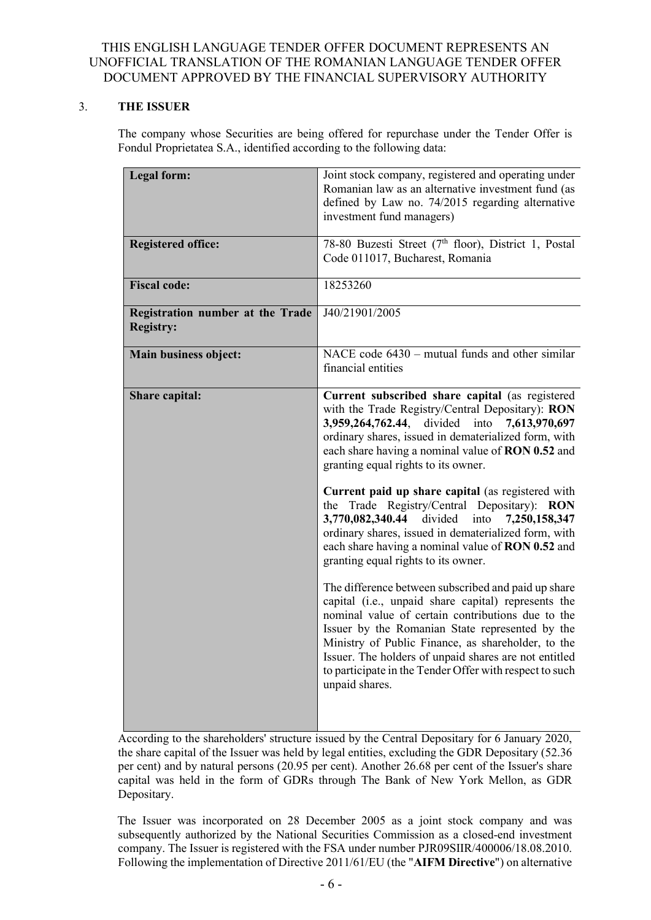## 3. **THE ISSUER**

The company whose Securities are being offered for repurchase under the Tender Offer is Fondul Proprietatea S.A., identified according to the following data:

| <b>Legal form:</b>                                   | Joint stock company, registered and operating under<br>Romanian law as an alternative investment fund (as<br>defined by Law no. 74/2015 regarding alternative<br>investment fund managers)                                                                                                                                                                                                                                                                                                                                                                                                                                                                                                                                                                                                                                                                                                                                                                                                                                                   |  |
|------------------------------------------------------|----------------------------------------------------------------------------------------------------------------------------------------------------------------------------------------------------------------------------------------------------------------------------------------------------------------------------------------------------------------------------------------------------------------------------------------------------------------------------------------------------------------------------------------------------------------------------------------------------------------------------------------------------------------------------------------------------------------------------------------------------------------------------------------------------------------------------------------------------------------------------------------------------------------------------------------------------------------------------------------------------------------------------------------------|--|
| <b>Registered office:</b>                            | 78-80 Buzesti Street (7 <sup>th</sup> floor), District 1, Postal<br>Code 011017, Bucharest, Romania                                                                                                                                                                                                                                                                                                                                                                                                                                                                                                                                                                                                                                                                                                                                                                                                                                                                                                                                          |  |
| <b>Fiscal code:</b>                                  | 18253260                                                                                                                                                                                                                                                                                                                                                                                                                                                                                                                                                                                                                                                                                                                                                                                                                                                                                                                                                                                                                                     |  |
| Registration number at the Trade<br><b>Registry:</b> | J40/21901/2005                                                                                                                                                                                                                                                                                                                                                                                                                                                                                                                                                                                                                                                                                                                                                                                                                                                                                                                                                                                                                               |  |
| Main business object:                                | NACE code $6430$ – mutual funds and other similar<br>financial entities                                                                                                                                                                                                                                                                                                                                                                                                                                                                                                                                                                                                                                                                                                                                                                                                                                                                                                                                                                      |  |
| Share capital:                                       | Current subscribed share capital (as registered<br>with the Trade Registry/Central Depositary): RON<br>3,959,264,762.44,<br>divided into<br>7,613,970,697<br>ordinary shares, issued in dematerialized form, with<br>each share having a nominal value of RON 0.52 and<br>granting equal rights to its owner.<br>Current paid up share capital (as registered with<br>the Trade Registry/Central Depositary): RON<br>3,770,082,340.44 divided<br>into<br>7,250,158,347<br>ordinary shares, issued in dematerialized form, with<br>each share having a nominal value of RON 0.52 and<br>granting equal rights to its owner.<br>The difference between subscribed and paid up share<br>capital (i.e., unpaid share capital) represents the<br>nominal value of certain contributions due to the<br>Issuer by the Romanian State represented by the<br>Ministry of Public Finance, as shareholder, to the<br>Issuer. The holders of unpaid shares are not entitled<br>to participate in the Tender Offer with respect to such<br>unpaid shares. |  |

According to the shareholders' structure issued by the Central Depositary for 6 January 2020, the share capital of the Issuer was held by legal entities, excluding the GDR Depositary (52.36 per cent) and by natural persons (20.95 per cent). Another 26.68 per cent of the Issuer's share capital was held in the form of GDRs through The Bank of New York Mellon, as GDR Depositary.

The Issuer was incorporated on 28 December 2005 as a joint stock company and was subsequently authorized by the National Securities Commission as a closed-end investment company. The Issuer is registered with the FSA under number PJR09SIIR/400006/18.08.2010. Following the implementation of Directive 2011/61/EU (the "**AIFM Directive**") on alternative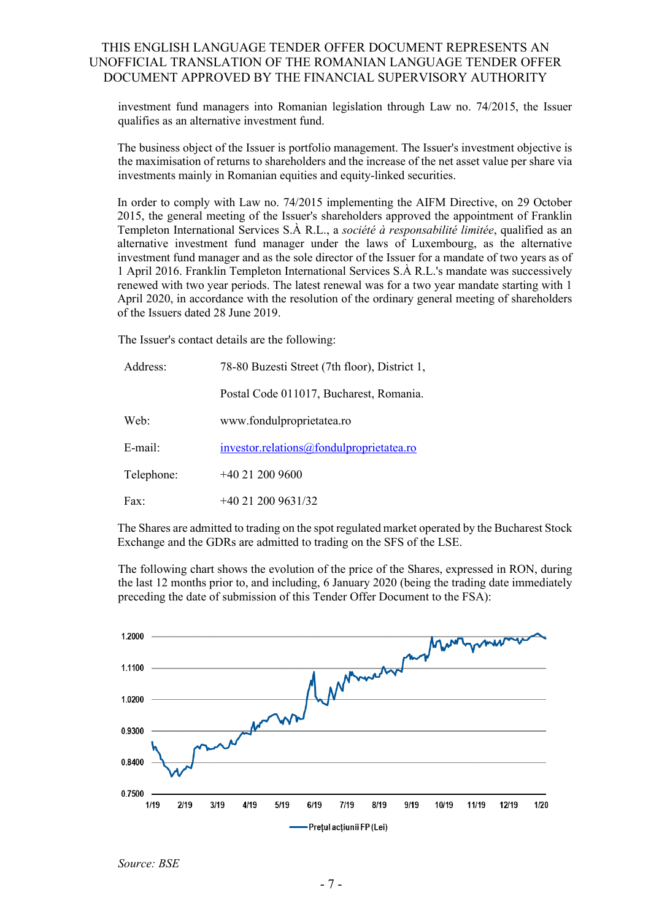investment fund managers into Romanian legislation through Law no. 74/2015, the Issuer qualifies as an alternative investment fund.

The business object of the Issuer is portfolio management. The Issuer's investment objective is the maximisation of returns to shareholders and the increase of the net asset value per share via investments mainly in Romanian equities and equity-linked securities.

In order to comply with Law no. 74/2015 implementing the AIFM Directive, on 29 October 2015, the general meeting of the Issuer's shareholders approved the appointment of Franklin Templeton International Services S.À R.L., a *société à responsabilité limitée*, qualified as an alternative investment fund manager under the laws of Luxembourg, as the alternative investment fund manager and as the sole director of the Issuer for a mandate of two years as of 1 April 2016. Franklin Templeton International Services S.À R.L.'s mandate was successively renewed with two year periods. The latest renewal was for a two year mandate starting with 1 April 2020, in accordance with the resolution of the ordinary general meeting of shareholders of the Issuers dated 28 June 2019.

The Issuer's contact details are the following:

| Address:   | 78-80 Buzesti Street (7th floor), District 1, |  |  |
|------------|-----------------------------------------------|--|--|
|            | Postal Code 011017, Bucharest, Romania.       |  |  |
| Web:       | www.fondulproprietatea.ro                     |  |  |
| E-mail:    | investor.relations@fondulproprietatea.ro      |  |  |
| Telephone: | $+40212009600$                                |  |  |
| Fax:       | $+40$ 21 200 9631/32                          |  |  |

The Shares are admitted to trading on the spot regulated market operated by the Bucharest Stock Exchange and the GDRs are admitted to trading on the SFS of the LSE.

The following chart shows the evolution of the price of the Shares, expressed in RON, during the last 12 months prior to, and including, 6 January 2020 (being the trading date immediately preceding the date of submission of this Tender Offer Document to the FSA):



*Source: BSE*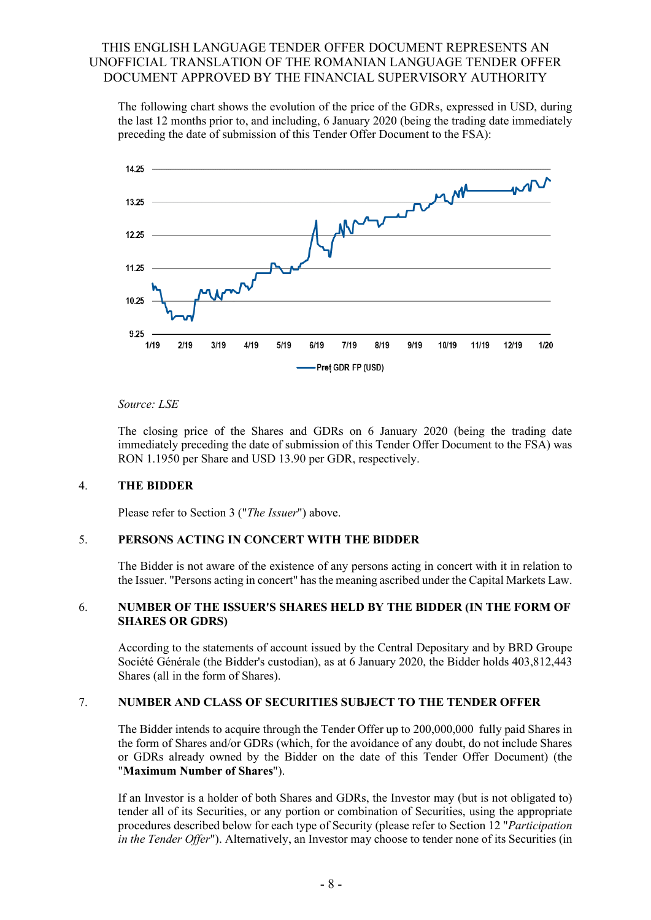The following chart shows the evolution of the price of the GDRs, expressed in USD, during the last 12 months prior to, and including, 6 January 2020 (being the trading date immediately preceding the date of submission of this Tender Offer Document to the FSA):



### *Source: LSE*

The closing price of the Shares and GDRs on 6 January 2020 (being the trading date immediately preceding the date of submission of this Tender Offer Document to the FSA) was RON 1.1950 per Share and USD 13.90 per GDR, respectively.

### <span id="page-11-0"></span>4. **THE BIDDER**

Please refer to Section 3 ("*The Issuer*") above.

### <span id="page-11-1"></span>5. **PERSONS ACTING IN CONCERT WITH THE BIDDER**

The Bidder is not aware of the existence of any persons acting in concert with it in relation to the Issuer. "Persons acting in concert" has the meaning ascribed under the Capital Markets Law.

### <span id="page-11-2"></span>6. **NUMBER OF THE ISSUER'S SHARES HELD BY THE BIDDER (IN THE FORM OF SHARES OR GDRS)**

According to the statements of account issued by the Central Depositary and by BRD Groupe Société Générale (the Bidder's custodian), as at 6 January 2020, the Bidder holds 403,812,443 Shares (all in the form of Shares).

### <span id="page-11-3"></span>7. **NUMBER AND CLASS OF SECURITIES SUBJECT TO THE TENDER OFFER**

The Bidder intends to acquire through the Tender Offer up to 200,000,000 fully paid Shares in the form of Shares and/or GDRs (which, for the avoidance of any doubt, do not include Shares or GDRs already owned by the Bidder on the date of this Tender Offer Document) (the "**Maximum Number of Shares**").

If an Investor is a holder of both Shares and GDRs, the Investor may (but is not obligated to) tender all of its Securities, or any portion or combination of Securities, using the appropriate procedures described below for each type of Security (please refer to Section 12 "*Participation in the Tender Offer*"). Alternatively, an Investor may choose to tender none of its Securities (in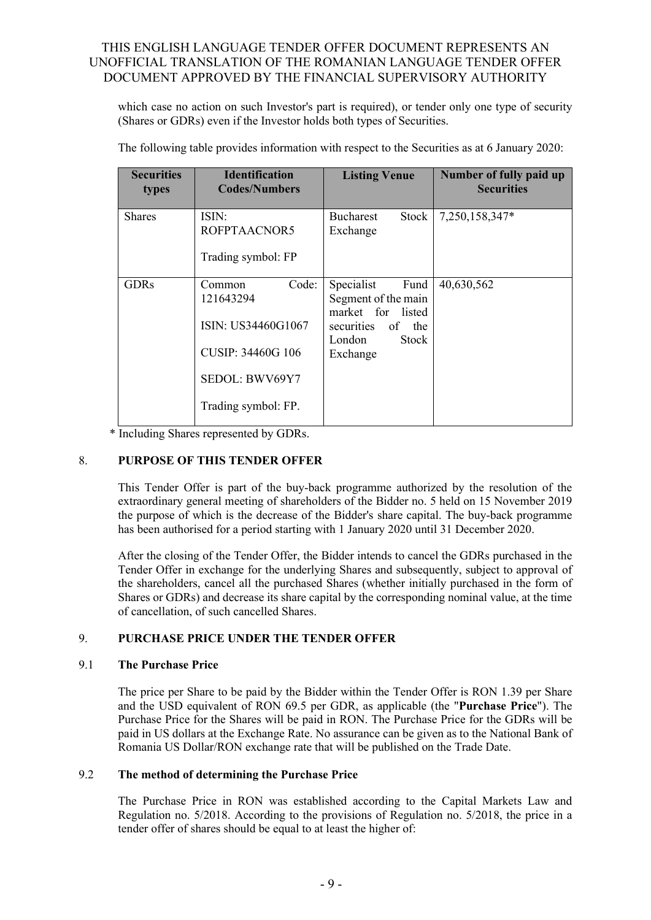which case no action on such Investor's part is required), or tender only one type of security (Shares or GDRs) even if the Investor holds both types of Securities.

| <b>Securities</b><br>types | <b>Identification</b><br><b>Codes/Numbers</b>                                                                           | <b>Listing Venue</b>                                                                                               | Number of fully paid up<br><b>Securities</b> |
|----------------------------|-------------------------------------------------------------------------------------------------------------------------|--------------------------------------------------------------------------------------------------------------------|----------------------------------------------|
| <b>Shares</b>              | ISIN:<br>ROFPTAACNOR5<br>Trading symbol: FP                                                                             | <b>Bucharest</b><br>Stock<br>Exchange                                                                              | 7,250,158,347*                               |
| <b>GDRs</b>                | Code:<br>Common<br>121643294<br>ISIN: US34460G1067<br><b>CUSIP: 34460G 106</b><br>SEDOL: BWV69Y7<br>Trading symbol: FP. | Specialist<br>Fund<br>Segment of the main<br>market for listed<br>securities of the<br>London<br>Stock<br>Exchange | 40,630,562                                   |

The following table provides information with respect to the Securities as at 6 January 2020:

\* Including Shares represented by GDRs.

### <span id="page-12-0"></span>8. **PURPOSE OF THIS TENDER OFFER**

This Tender Offer is part of the buy-back programme authorized by the resolution of the extraordinary general meeting of shareholders of the Bidder no. 5 held on 15 November 2019 the purpose of which is the decrease of the Bidder's share capital. The buy-back programme has been authorised for a period starting with 1 January 2020 until 31 December 2020.

After the closing of the Tender Offer, the Bidder intends to cancel the GDRs purchased in the Tender Offer in exchange for the underlying Shares and subsequently, subject to approval of the shareholders, cancel all the purchased Shares (whether initially purchased in the form of Shares or GDRs) and decrease its share capital by the corresponding nominal value, at the time of cancellation, of such cancelled Shares.

### <span id="page-12-1"></span>9. **PURCHASE PRICE UNDER THE TENDER OFFER**

### 9.1 **The Purchase Price**

The price per Share to be paid by the Bidder within the Tender Offer is RON 1.39 per Share and the USD equivalent of RON 69.5 per GDR, as applicable (the "**Purchase Price**"). The Purchase Price for the Shares will be paid in RON. The Purchase Price for the GDRs will be paid in US dollars at the Exchange Rate. No assurance can be given as to the National Bank of Romania US Dollar/RON exchange rate that will be published on the Trade Date.

### 9.2 **The method of determining the Purchase Price**

The Purchase Price in RON was established according to the Capital Markets Law and Regulation no. 5/2018. According to the provisions of Regulation no. 5/2018, the price in a tender offer of shares should be equal to at least the higher of: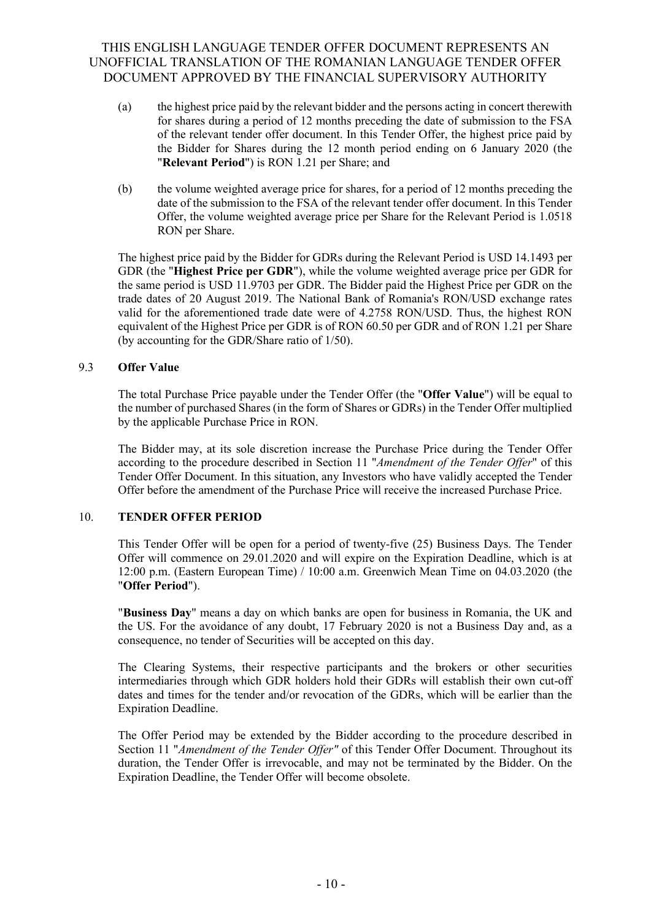- (a) the highest price paid by the relevant bidder and the persons acting in concert therewith for shares during a period of 12 months preceding the date of submission to the FSA of the relevant tender offer document. In this Tender Offer, the highest price paid by the Bidder for Shares during the 12 month period ending on 6 January 2020 (the "**Relevant Period**") is RON 1.21 per Share; and
- (b) the volume weighted average price for shares, for a period of 12 months preceding the date of the submission to the FSA of the relevant tender offer document. In this Tender Offer, the volume weighted average price per Share for the Relevant Period is 1.0518 RON per Share.

The highest price paid by the Bidder for GDRs during the Relevant Period is USD 14.1493 per GDR (the "**Highest Price per GDR**"), while the volume weighted average price per GDR for the same period is USD 11.9703 per GDR. The Bidder paid the Highest Price per GDR on the trade dates of 20 August 2019. The National Bank of Romania's RON/USD exchange rates valid for the aforementioned trade date were of 4.2758 RON/USD. Thus, the highest RON equivalent of the Highest Price per GDR is of RON 60.50 per GDR and of RON 1.21 per Share (by accounting for the GDR/Share ratio of 1/50).

### 9.3 **Offer Value**

The total Purchase Price payable under the Tender Offer (the "**Offer Value**") will be equal to the number of purchased Shares (in the form of Shares or GDRs) in the Tender Offer multiplied by the applicable Purchase Price in RON.

The Bidder may, at its sole discretion increase the Purchase Price during the Tender Offer according to the procedure described in Section 11 "*Amendment of the Tender Offer*" of this Tender Offer Document. In this situation, any Investors who have validly accepted the Tender Offer before the amendment of the Purchase Price will receive the increased Purchase Price.

### <span id="page-13-0"></span>10. **TENDER OFFER PERIOD**

This Tender Offer will be open for a period of twenty-five (25) Business Days. The Tender Offer will commence on 29.01.2020 and will expire on the Expiration Deadline, which is at 12:00 p.m. (Eastern European Time) / 10:00 a.m. Greenwich Mean Time on 04.03.2020 (the "**Offer Period**").

"**Business Day**" means a day on which banks are open for business in Romania, the UK and the US. For the avoidance of any doubt, 17 February 2020 is not a Business Day and, as a consequence, no tender of Securities will be accepted on this day.

The Clearing Systems, their respective participants and the brokers or other securities intermediaries through which GDR holders hold their GDRs will establish their own cut-off dates and times for the tender and/or revocation of the GDRs, which will be earlier than the Expiration Deadline.

<span id="page-13-1"></span>The Offer Period may be extended by the Bidder according to the procedure described in Section 11 "*Amendment of the Tender Offer"* of this Tender Offer Document. Throughout its duration, the Tender Offer is irrevocable, and may not be terminated by the Bidder. On the Expiration Deadline, the Tender Offer will become obsolete.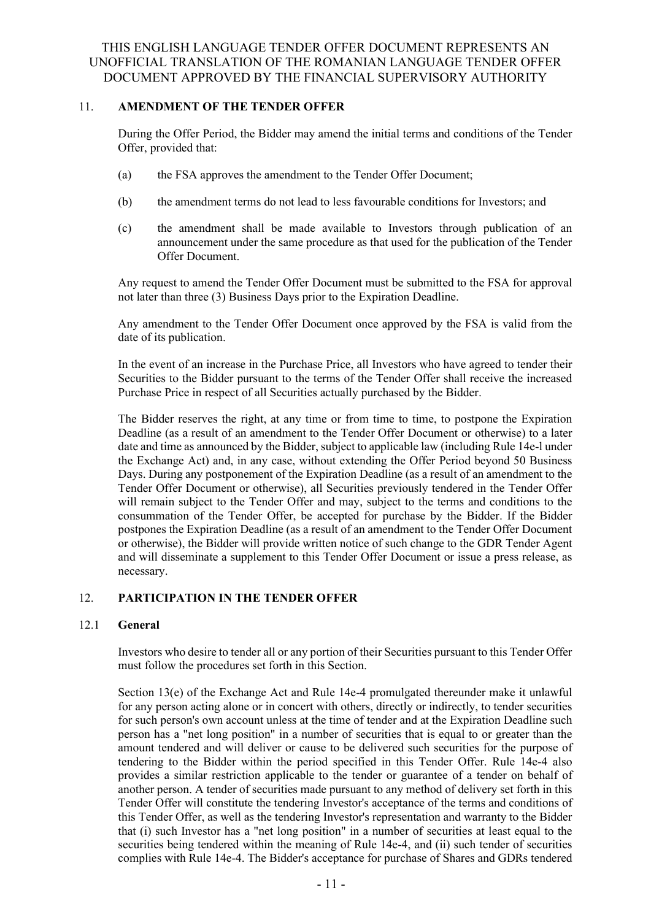### 11. **AMENDMENT OF THE TENDER OFFER**

During the Offer Period, the Bidder may amend the initial terms and conditions of the Tender Offer, provided that:

- (a) the FSA approves the amendment to the Tender Offer Document;
- (b) the amendment terms do not lead to less favourable conditions for Investors; and
- (c) the amendment shall be made available to Investors through publication of an announcement under the same procedure as that used for the publication of the Tender Offer Document.

Any request to amend the Tender Offer Document must be submitted to the FSA for approval not later than three (3) Business Days prior to the Expiration Deadline.

Any amendment to the Tender Offer Document once approved by the FSA is valid from the date of its publication.

In the event of an increase in the Purchase Price, all Investors who have agreed to tender their Securities to the Bidder pursuant to the terms of the Tender Offer shall receive the increased Purchase Price in respect of all Securities actually purchased by the Bidder.

The Bidder reserves the right, at any time or from time to time, to postpone the Expiration Deadline (as a result of an amendment to the Tender Offer Document or otherwise) to a later date and time as announced by the Bidder, subject to applicable law (including Rule 14e-l under the Exchange Act) and, in any case, without extending the Offer Period beyond 50 Business Days. During any postponement of the Expiration Deadline (as a result of an amendment to the Tender Offer Document or otherwise), all Securities previously tendered in the Tender Offer will remain subject to the Tender Offer and may, subject to the terms and conditions to the consummation of the Tender Offer, be accepted for purchase by the Bidder. If the Bidder postpones the Expiration Deadline (as a result of an amendment to the Tender Offer Document or otherwise), the Bidder will provide written notice of such change to the GDR Tender Agent and will disseminate a supplement to this Tender Offer Document or issue a press release, as necessary.

### <span id="page-14-0"></span>12. **PARTICIPATION IN THE TENDER OFFER**

### 12.1 **General**

Investors who desire to tender all or any portion of their Securities pursuant to this Tender Offer must follow the procedures set forth in this Section.

Section 13(e) of the Exchange Act and Rule 14e-4 promulgated thereunder make it unlawful for any person acting alone or in concert with others, directly or indirectly, to tender securities for such person's own account unless at the time of tender and at the Expiration Deadline such person has a "net long position" in a number of securities that is equal to or greater than the amount tendered and will deliver or cause to be delivered such securities for the purpose of tendering to the Bidder within the period specified in this Tender Offer. Rule 14e-4 also provides a similar restriction applicable to the tender or guarantee of a tender on behalf of another person. A tender of securities made pursuant to any method of delivery set forth in this Tender Offer will constitute the tendering Investor's acceptance of the terms and conditions of this Tender Offer, as well as the tendering Investor's representation and warranty to the Bidder that (i) such Investor has a "net long position" in a number of securities at least equal to the securities being tendered within the meaning of Rule 14e-4, and (ii) such tender of securities complies with Rule 14e-4. The Bidder's acceptance for purchase of Shares and GDRs tendered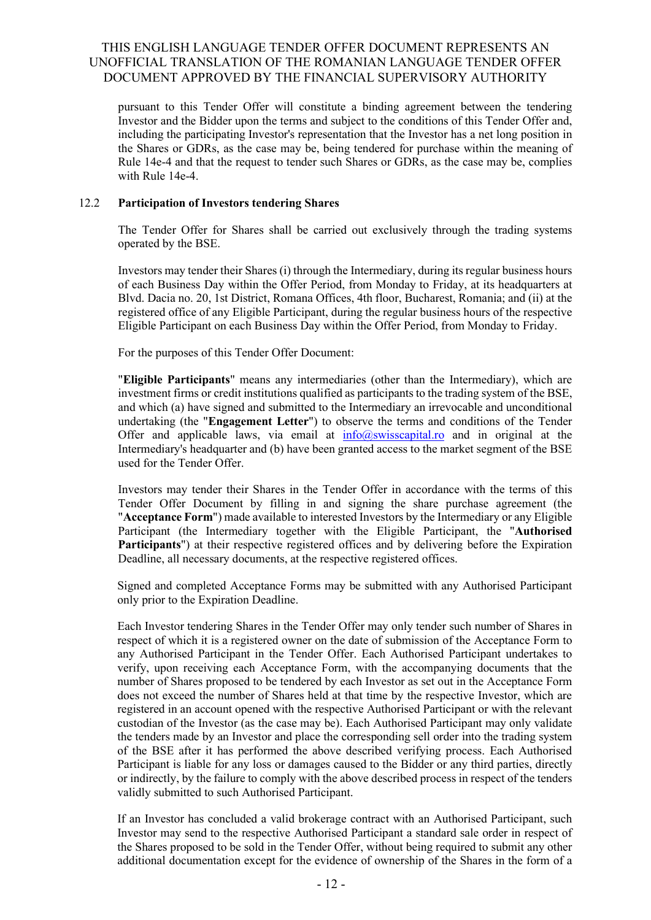pursuant to this Tender Offer will constitute a binding agreement between the tendering Investor and the Bidder upon the terms and subject to the conditions of this Tender Offer and, including the participating Investor's representation that the Investor has a net long position in the Shares or GDRs, as the case may be, being tendered for purchase within the meaning of Rule 14e-4 and that the request to tender such Shares or GDRs, as the case may be, complies with Rule 14e-4.

### 12.2 **Participation of Investors tendering Shares**

The Tender Offer for Shares shall be carried out exclusively through the trading systems operated by the BSE.

Investors may tender their Shares (i) through the Intermediary, during its regular business hours of each Business Day within the Offer Period, from Monday to Friday, at its headquarters at Blvd. Dacia no. 20, 1st District, Romana Offices, 4th floor, Bucharest, Romania; and (ii) at the registered office of any Eligible Participant, during the regular business hours of the respective Eligible Participant on each Business Day within the Offer Period, from Monday to Friday.

For the purposes of this Tender Offer Document:

"**Eligible Participants**" means any intermediaries (other than the Intermediary), which are investment firms or credit institutions qualified as participants to the trading system of the BSE, and which (a) have signed and submitted to the Intermediary an irrevocable and unconditional undertaking (the "**Engagement Letter**") to observe the terms and conditions of the Tender Offer and applicable laws, via email at  $info@swisscapital-ro$  and in original at the Intermediary's headquarter and (b) have been granted access to the market segment of the BSE used for the Tender Offer.

Investors may tender their Shares in the Tender Offer in accordance with the terms of this Tender Offer Document by filling in and signing the share purchase agreement (the "**Acceptance Form**") made available to interested Investors by the Intermediary or any Eligible Participant (the Intermediary together with the Eligible Participant, the "**Authorised Participants**") at their respective registered offices and by delivering before the Expiration Deadline, all necessary documents, at the respective registered offices.

Signed and completed Acceptance Forms may be submitted with any Authorised Participant only prior to the Expiration Deadline.

Each Investor tendering Shares in the Tender Offer may only tender such number of Shares in respect of which it is a registered owner on the date of submission of the Acceptance Form to any Authorised Participant in the Tender Offer. Each Authorised Participant undertakes to verify, upon receiving each Acceptance Form, with the accompanying documents that the number of Shares proposed to be tendered by each Investor as set out in the Acceptance Form does not exceed the number of Shares held at that time by the respective Investor, which are registered in an account opened with the respective Authorised Participant or with the relevant custodian of the Investor (as the case may be). Each Authorised Participant may only validate the tenders made by an Investor and place the corresponding sell order into the trading system of the BSE after it has performed the above described verifying process. Each Authorised Participant is liable for any loss or damages caused to the Bidder or any third parties, directly or indirectly, by the failure to comply with the above described process in respect of the tenders validly submitted to such Authorised Participant.

If an Investor has concluded a valid brokerage contract with an Authorised Participant, such Investor may send to the respective Authorised Participant a standard sale order in respect of the Shares proposed to be sold in the Tender Offer, without being required to submit any other additional documentation except for the evidence of ownership of the Shares in the form of a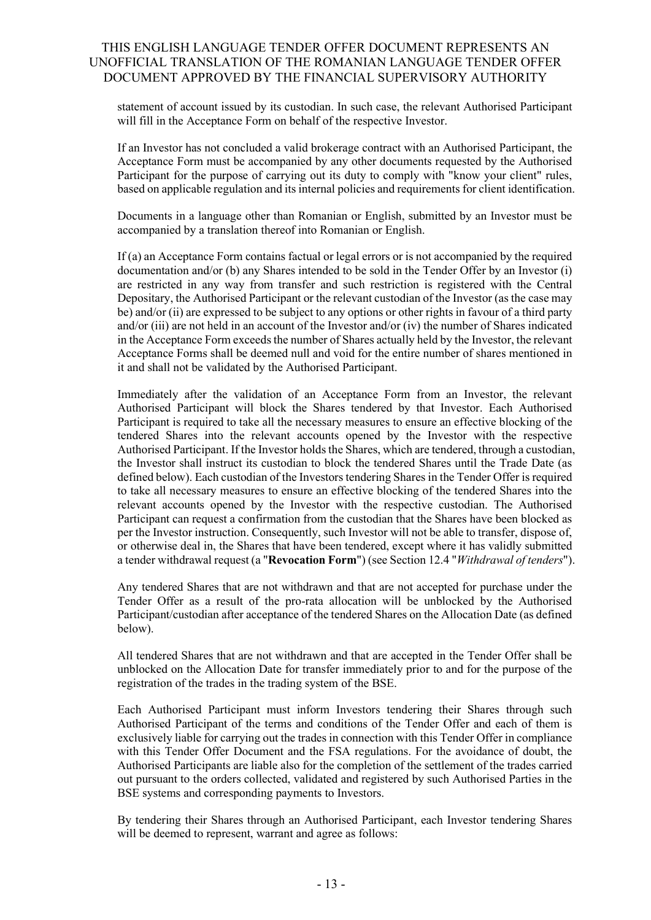statement of account issued by its custodian. In such case, the relevant Authorised Participant will fill in the Acceptance Form on behalf of the respective Investor.

If an Investor has not concluded a valid brokerage contract with an Authorised Participant, the Acceptance Form must be accompanied by any other documents requested by the Authorised Participant for the purpose of carrying out its duty to comply with "know your client" rules, based on applicable regulation and its internal policies and requirements for client identification.

Documents in a language other than Romanian or English, submitted by an Investor must be accompanied by a translation thereof into Romanian or English.

If (a) an Acceptance Form contains factual or legal errors or is not accompanied by the required documentation and/or (b) any Shares intended to be sold in the Tender Offer by an Investor (i) are restricted in any way from transfer and such restriction is registered with the Central Depositary, the Authorised Participant or the relevant custodian of the Investor (as the case may be) and/or (ii) are expressed to be subject to any options or other rights in favour of a third party and/or (iii) are not held in an account of the Investor and/or (iv) the number of Shares indicated in the Acceptance Form exceeds the number of Shares actually held by the Investor, the relevant Acceptance Forms shall be deemed null and void for the entire number of shares mentioned in it and shall not be validated by the Authorised Participant.

Immediately after the validation of an Acceptance Form from an Investor, the relevant Authorised Participant will block the Shares tendered by that Investor. Each Authorised Participant is required to take all the necessary measures to ensure an effective blocking of the tendered Shares into the relevant accounts opened by the Investor with the respective Authorised Participant. If the Investor holds the Shares, which are tendered, through a custodian, the Investor shall instruct its custodian to block the tendered Shares until the Trade Date (as defined below). Each custodian of the Investors tendering Shares in the Tender Offer is required to take all necessary measures to ensure an effective blocking of the tendered Shares into the relevant accounts opened by the Investor with the respective custodian. The Authorised Participant can request a confirmation from the custodian that the Shares have been blocked as per the Investor instruction. Consequently, such Investor will not be able to transfer, dispose of, or otherwise deal in, the Shares that have been tendered, except where it has validly submitted a tender withdrawal request (a "**Revocation Form**") (see Section 12.4 "*Withdrawal of tenders*").

Any tendered Shares that are not withdrawn and that are not accepted for purchase under the Tender Offer as a result of the pro-rata allocation will be unblocked by the Authorised Participant/custodian after acceptance of the tendered Shares on the Allocation Date (as defined below).

All tendered Shares that are not withdrawn and that are accepted in the Tender Offer shall be unblocked on the Allocation Date for transfer immediately prior to and for the purpose of the registration of the trades in the trading system of the BSE.

Each Authorised Participant must inform Investors tendering their Shares through such Authorised Participant of the terms and conditions of the Tender Offer and each of them is exclusively liable for carrying out the trades in connection with this Tender Offer in compliance with this Tender Offer Document and the FSA regulations. For the avoidance of doubt, the Authorised Participants are liable also for the completion of the settlement of the trades carried out pursuant to the orders collected, validated and registered by such Authorised Parties in the BSE systems and corresponding payments to Investors.

By tendering their Shares through an Authorised Participant, each Investor tendering Shares will be deemed to represent, warrant and agree as follows: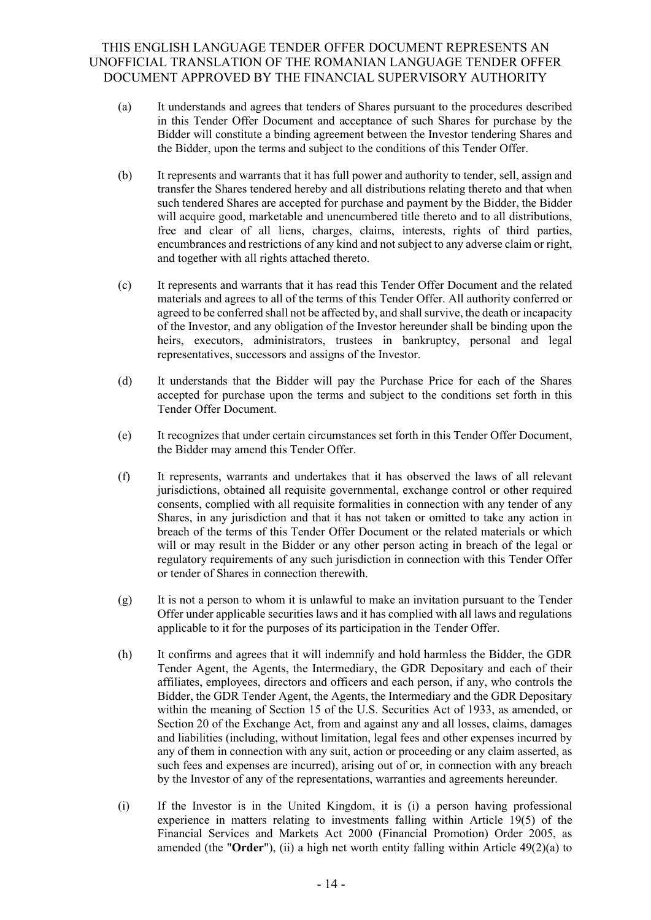- (a) It understands and agrees that tenders of Shares pursuant to the procedures described in this Tender Offer Document and acceptance of such Shares for purchase by the Bidder will constitute a binding agreement between the Investor tendering Shares and the Bidder, upon the terms and subject to the conditions of this Tender Offer.
- (b) It represents and warrants that it has full power and authority to tender, sell, assign and transfer the Shares tendered hereby and all distributions relating thereto and that when such tendered Shares are accepted for purchase and payment by the Bidder, the Bidder will acquire good, marketable and unencumbered title thereto and to all distributions, free and clear of all liens, charges, claims, interests, rights of third parties, encumbrances and restrictions of any kind and not subject to any adverse claim or right, and together with all rights attached thereto.
- (c) It represents and warrants that it has read this Tender Offer Document and the related materials and agrees to all of the terms of this Tender Offer. All authority conferred or agreed to be conferred shall not be affected by, and shall survive, the death or incapacity of the Investor, and any obligation of the Investor hereunder shall be binding upon the heirs, executors, administrators, trustees in bankruptcy, personal and legal representatives, successors and assigns of the Investor.
- (d) It understands that the Bidder will pay the Purchase Price for each of the Shares accepted for purchase upon the terms and subject to the conditions set forth in this Tender Offer Document.
- (e) It recognizes that under certain circumstances set forth in this Tender Offer Document, the Bidder may amend this Tender Offer.
- (f) It represents, warrants and undertakes that it has observed the laws of all relevant jurisdictions, obtained all requisite governmental, exchange control or other required consents, complied with all requisite formalities in connection with any tender of any Shares, in any jurisdiction and that it has not taken or omitted to take any action in breach of the terms of this Tender Offer Document or the related materials or which will or may result in the Bidder or any other person acting in breach of the legal or regulatory requirements of any such jurisdiction in connection with this Tender Offer or tender of Shares in connection therewith.
- $(g)$  It is not a person to whom it is unlawful to make an invitation pursuant to the Tender Offer under applicable securities laws and it has complied with all laws and regulations applicable to it for the purposes of its participation in the Tender Offer.
- (h) It confirms and agrees that it will indemnify and hold harmless the Bidder, the GDR Tender Agent, the Agents, the Intermediary, the GDR Depositary and each of their affiliates, employees, directors and officers and each person, if any, who controls the Bidder, the GDR Tender Agent, the Agents, the Intermediary and the GDR Depositary within the meaning of Section 15 of the U.S. Securities Act of 1933, as amended, or Section 20 of the Exchange Act, from and against any and all losses, claims, damages and liabilities (including, without limitation, legal fees and other expenses incurred by any of them in connection with any suit, action or proceeding or any claim asserted, as such fees and expenses are incurred), arising out of or, in connection with any breach by the Investor of any of the representations, warranties and agreements hereunder.
- (i) If the Investor is in the United Kingdom, it is (i) a person having professional experience in matters relating to investments falling within Article 19(5) of the Financial Services and Markets Act 2000 (Financial Promotion) Order 2005, as amended (the "**Order**"), (ii) a high net worth entity falling within Article 49(2)(a) to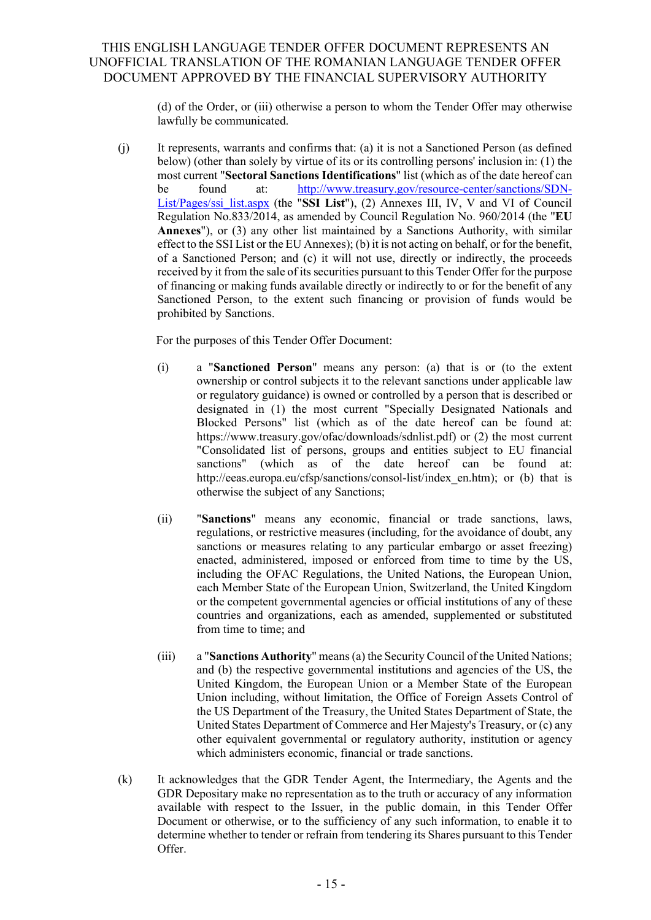(d) of the Order, or (iii) otherwise a person to whom the Tender Offer may otherwise lawfully be communicated.

(j) It represents, warrants and confirms that: (a) it is not a Sanctioned Person (as defined below) (other than solely by virtue of its or its controlling persons' inclusion in: (1) the most current "**Sectoral Sanctions Identifications**" list (which as of the date hereof can be found at: [http://www.treasury.gov/resource-center/sanctions/SDN-](http://www.treasury.gov/resource-center/sanctions/SDN-List/Pages/ssi_list.aspx)[List/Pages/ssi\\_list.aspx](http://www.treasury.gov/resource-center/sanctions/SDN-List/Pages/ssi_list.aspx) (the "**SSI List**"), (2) Annexes III, IV, V and VI of Council Regulation No.833/2014, as amended by Council Regulation No. 960/2014 (the "**EU Annexes**"), or (3) any other list maintained by a Sanctions Authority, with similar effect to the SSI List or the EU Annexes); (b) it is not acting on behalf, or for the benefit, of a Sanctioned Person; and (c) it will not use, directly or indirectly, the proceeds received by it from the sale of its securities pursuant to this Tender Offer for the purpose of financing or making funds available directly or indirectly to or for the benefit of any Sanctioned Person, to the extent such financing or provision of funds would be prohibited by Sanctions.

For the purposes of this Tender Offer Document:

- (i) a "**Sanctioned Person**" means any person: (a) that is or (to the extent ownership or control subjects it to the relevant sanctions under applicable law or regulatory guidance) is owned or controlled by a person that is described or designated in (1) the most current "Specially Designated Nationals and Blocked Persons" list (which as of the date hereof can be found at: https://www.treasury.gov/ofac/downloads/sdnlist.pdf) or (2) the most current "Consolidated list of persons, groups and entities subject to EU financial sanctions" (which as of the date hereof can be found at: http://eeas.europa.eu/cfsp/sanctions/consol-list/index\_en.htm); or (b) that is otherwise the subject of any Sanctions;
- (ii) "**Sanctions**" means any economic, financial or trade sanctions, laws, regulations, or restrictive measures (including, for the avoidance of doubt, any sanctions or measures relating to any particular embargo or asset freezing) enacted, administered, imposed or enforced from time to time by the US, including the OFAC Regulations, the United Nations, the European Union, each Member State of the European Union, Switzerland, the United Kingdom or the competent governmental agencies or official institutions of any of these countries and organizations, each as amended, supplemented or substituted from time to time; and
- (iii) a "**Sanctions Authority**" means (a) the Security Council of the United Nations; and (b) the respective governmental institutions and agencies of the US, the United Kingdom, the European Union or a Member State of the European Union including, without limitation, the Office of Foreign Assets Control of the US Department of the Treasury, the United States Department of State, the United States Department of Commerce and Her Majesty's Treasury, or (c) any other equivalent governmental or regulatory authority, institution or agency which administers economic, financial or trade sanctions.
- (k) It acknowledges that the GDR Tender Agent, the Intermediary, the Agents and the GDR Depositary make no representation as to the truth or accuracy of any information available with respect to the Issuer, in the public domain, in this Tender Offer Document or otherwise, or to the sufficiency of any such information, to enable it to determine whether to tender or refrain from tendering its Shares pursuant to this Tender Offer.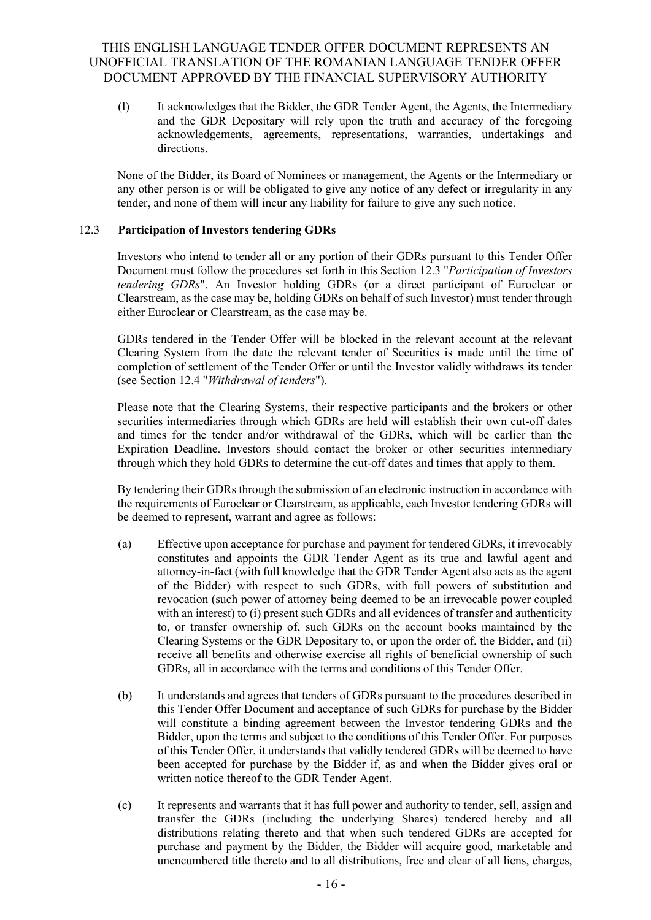(l) It acknowledges that the Bidder, the GDR Tender Agent, the Agents, the Intermediary and the GDR Depositary will rely upon the truth and accuracy of the foregoing acknowledgements, agreements, representations, warranties, undertakings and directions.

None of the Bidder, its Board of Nominees or management, the Agents or the Intermediary or any other person is or will be obligated to give any notice of any defect or irregularity in any tender, and none of them will incur any liability for failure to give any such notice.

### 12.3 **Participation of Investors tendering GDRs**

Investors who intend to tender all or any portion of their GDRs pursuant to this Tender Offer Document must follow the procedures set forth in this Section 12.3 "*Participation of Investors tendering GDRs*". An Investor holding GDRs (or a direct participant of Euroclear or Clearstream, as the case may be, holding GDRs on behalf of such Investor) must tender through either Euroclear or Clearstream, as the case may be.

GDRs tendered in the Tender Offer will be blocked in the relevant account at the relevant Clearing System from the date the relevant tender of Securities is made until the time of completion of settlement of the Tender Offer or until the Investor validly withdraws its tender (see Section 12.4 "*Withdrawal of tenders*").

Please note that the Clearing Systems, their respective participants and the brokers or other securities intermediaries through which GDRs are held will establish their own cut-off dates and times for the tender and/or withdrawal of the GDRs, which will be earlier than the Expiration Deadline. Investors should contact the broker or other securities intermediary through which they hold GDRs to determine the cut-off dates and times that apply to them.

By tendering their GDRs through the submission of an electronic instruction in accordance with the requirements of Euroclear or Clearstream, as applicable, each Investor tendering GDRs will be deemed to represent, warrant and agree as follows:

- (a) Effective upon acceptance for purchase and payment for tendered GDRs, it irrevocably constitutes and appoints the GDR Tender Agent as its true and lawful agent and attorney-in-fact (with full knowledge that the GDR Tender Agent also acts as the agent of the Bidder) with respect to such GDRs, with full powers of substitution and revocation (such power of attorney being deemed to be an irrevocable power coupled with an interest) to (i) present such GDRs and all evidences of transfer and authenticity to, or transfer ownership of, such GDRs on the account books maintained by the Clearing Systems or the GDR Depositary to, or upon the order of, the Bidder, and (ii) receive all benefits and otherwise exercise all rights of beneficial ownership of such GDRs, all in accordance with the terms and conditions of this Tender Offer.
- (b) It understands and agrees that tenders of GDRs pursuant to the procedures described in this Tender Offer Document and acceptance of such GDRs for purchase by the Bidder will constitute a binding agreement between the Investor tendering GDRs and the Bidder, upon the terms and subject to the conditions of this Tender Offer. For purposes of this Tender Offer, it understands that validly tendered GDRs will be deemed to have been accepted for purchase by the Bidder if, as and when the Bidder gives oral or written notice thereof to the GDR Tender Agent.
- (c) It represents and warrants that it has full power and authority to tender, sell, assign and transfer the GDRs (including the underlying Shares) tendered hereby and all distributions relating thereto and that when such tendered GDRs are accepted for purchase and payment by the Bidder, the Bidder will acquire good, marketable and unencumbered title thereto and to all distributions, free and clear of all liens, charges,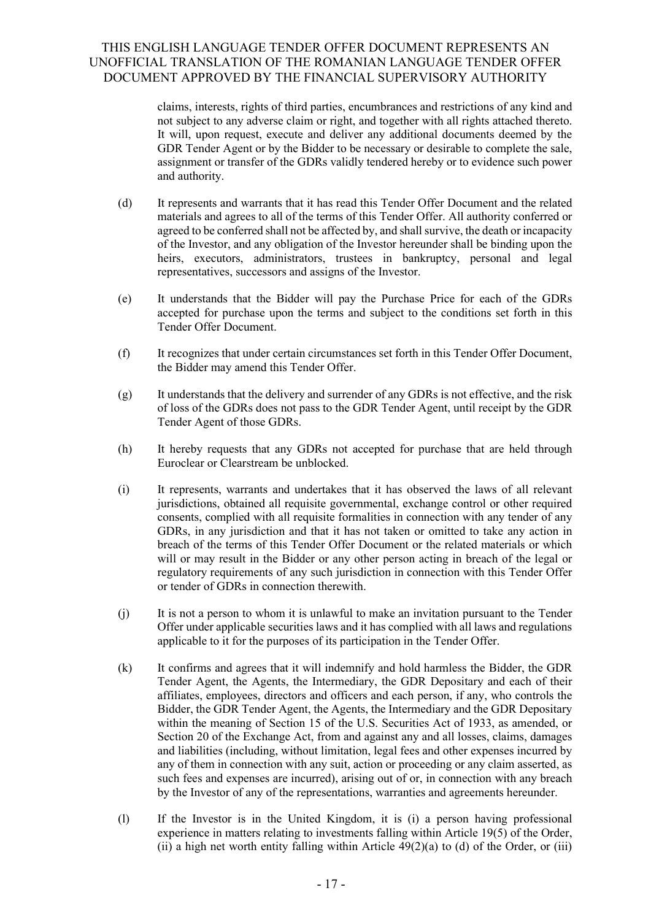claims, interests, rights of third parties, encumbrances and restrictions of any kind and not subject to any adverse claim or right, and together with all rights attached thereto. It will, upon request, execute and deliver any additional documents deemed by the GDR Tender Agent or by the Bidder to be necessary or desirable to complete the sale, assignment or transfer of the GDRs validly tendered hereby or to evidence such power and authority.

- (d) It represents and warrants that it has read this Tender Offer Document and the related materials and agrees to all of the terms of this Tender Offer. All authority conferred or agreed to be conferred shall not be affected by, and shall survive, the death or incapacity of the Investor, and any obligation of the Investor hereunder shall be binding upon the heirs, executors, administrators, trustees in bankruptcy, personal and legal representatives, successors and assigns of the Investor.
- (e) It understands that the Bidder will pay the Purchase Price for each of the GDRs accepted for purchase upon the terms and subject to the conditions set forth in this Tender Offer Document.
- (f) It recognizes that under certain circumstances set forth in this Tender Offer Document, the Bidder may amend this Tender Offer.
- (g) It understands that the delivery and surrender of any GDRs is not effective, and the risk of loss of the GDRs does not pass to the GDR Tender Agent, until receipt by the GDR Tender Agent of those GDRs.
- (h) It hereby requests that any GDRs not accepted for purchase that are held through Euroclear or Clearstream be unblocked.
- (i) It represents, warrants and undertakes that it has observed the laws of all relevant jurisdictions, obtained all requisite governmental, exchange control or other required consents, complied with all requisite formalities in connection with any tender of any GDRs, in any jurisdiction and that it has not taken or omitted to take any action in breach of the terms of this Tender Offer Document or the related materials or which will or may result in the Bidder or any other person acting in breach of the legal or regulatory requirements of any such jurisdiction in connection with this Tender Offer or tender of GDRs in connection therewith.
- (j) It is not a person to whom it is unlawful to make an invitation pursuant to the Tender Offer under applicable securities laws and it has complied with all laws and regulations applicable to it for the purposes of its participation in the Tender Offer.
- (k) It confirms and agrees that it will indemnify and hold harmless the Bidder, the GDR Tender Agent, the Agents, the Intermediary, the GDR Depositary and each of their affiliates, employees, directors and officers and each person, if any, who controls the Bidder, the GDR Tender Agent, the Agents, the Intermediary and the GDR Depositary within the meaning of Section 15 of the U.S. Securities Act of 1933, as amended, or Section 20 of the Exchange Act, from and against any and all losses, claims, damages and liabilities (including, without limitation, legal fees and other expenses incurred by any of them in connection with any suit, action or proceeding or any claim asserted, as such fees and expenses are incurred), arising out of or, in connection with any breach by the Investor of any of the representations, warranties and agreements hereunder.
- (l) If the Investor is in the United Kingdom, it is (i) a person having professional experience in matters relating to investments falling within Article 19(5) of the Order, (ii) a high net worth entity falling within Article  $49(2)(a)$  to (d) of the Order, or (iii)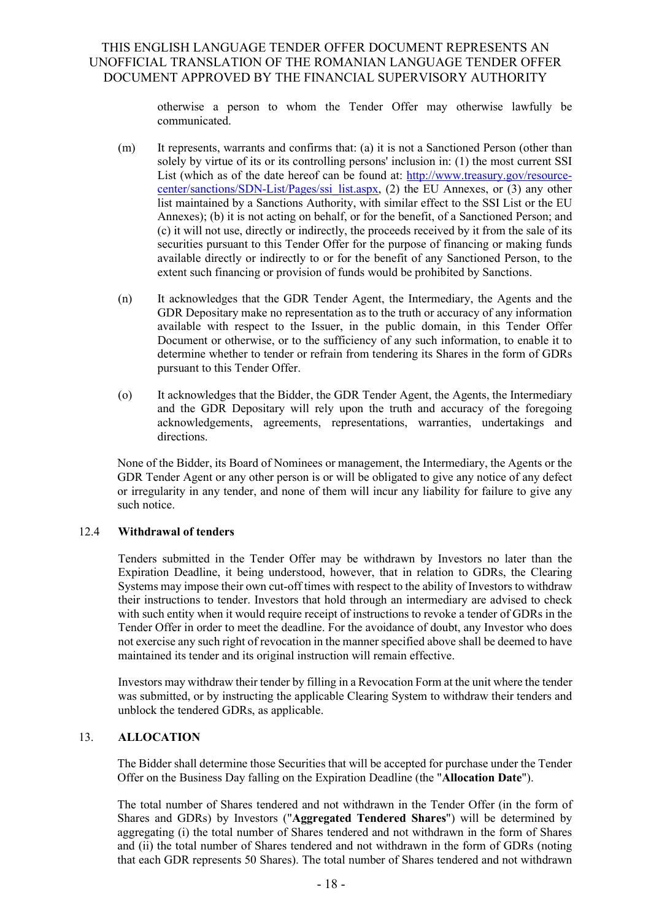otherwise a person to whom the Tender Offer may otherwise lawfully be communicated.

- (m) It represents, warrants and confirms that: (a) it is not a Sanctioned Person (other than solely by virtue of its or its controlling persons' inclusion in: (1) the most current SSI List (which as of the date hereof can be found at: [http://www.treasury.gov/resource](http://www.fondulproprietatea.ro/)[center/sanctions/SDN-List/Pages/ssi\\_list.aspx,](http://www.fondulproprietatea.ro/) (2) the EU Annexes, or (3) any other list maintained by a Sanctions Authority, with similar effect to the SSI List or the EU Annexes); (b) it is not acting on behalf, or for the benefit, of a Sanctioned Person; and (c) it will not use, directly or indirectly, the proceeds received by it from the sale of its securities pursuant to this Tender Offer for the purpose of financing or making funds available directly or indirectly to or for the benefit of any Sanctioned Person, to the extent such financing or provision of funds would be prohibited by Sanctions.
- (n) It acknowledges that the GDR Tender Agent, the Intermediary, the Agents and the GDR Depositary make no representation as to the truth or accuracy of any information available with respect to the Issuer, in the public domain, in this Tender Offer Document or otherwise, or to the sufficiency of any such information, to enable it to determine whether to tender or refrain from tendering its Shares in the form of GDRs pursuant to this Tender Offer.
- (o) It acknowledges that the Bidder, the GDR Tender Agent, the Agents, the Intermediary and the GDR Depositary will rely upon the truth and accuracy of the foregoing acknowledgements, agreements, representations, warranties, undertakings and directions.

None of the Bidder, its Board of Nominees or management, the Intermediary, the Agents or the GDR Tender Agent or any other person is or will be obligated to give any notice of any defect or irregularity in any tender, and none of them will incur any liability for failure to give any such notice.

### 12.4 **Withdrawal of tenders**

Tenders submitted in the Tender Offer may be withdrawn by Investors no later than the Expiration Deadline, it being understood, however, that in relation to GDRs, the Clearing Systems may impose their own cut-off times with respect to the ability of Investors to withdraw their instructions to tender. Investors that hold through an intermediary are advised to check with such entity when it would require receipt of instructions to revoke a tender of GDRs in the Tender Offer in order to meet the deadline. For the avoidance of doubt, any Investor who does not exercise any such right of revocation in the manner specified above shall be deemed to have maintained its tender and its original instruction will remain effective.

Investors may withdraw their tender by filling in a Revocation Form at the unit where the tender was submitted, or by instructing the applicable Clearing System to withdraw their tenders and unblock the tendered GDRs, as applicable.

### <span id="page-21-0"></span>13. **ALLOCATION**

The Bidder shall determine those Securities that will be accepted for purchase under the Tender Offer on the Business Day falling on the Expiration Deadline (the "**Allocation Date**").

The total number of Shares tendered and not withdrawn in the Tender Offer (in the form of Shares and GDRs) by Investors ("**Aggregated Tendered Shares**") will be determined by aggregating (i) the total number of Shares tendered and not withdrawn in the form of Shares and (ii) the total number of Shares tendered and not withdrawn in the form of GDRs (noting that each GDR represents 50 Shares). The total number of Shares tendered and not withdrawn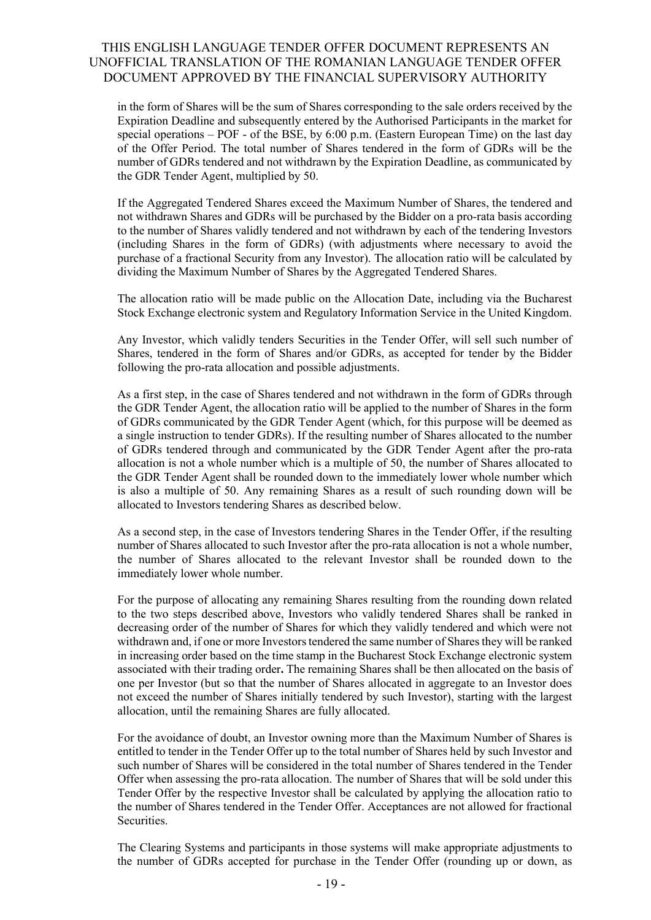in the form of Shares will be the sum of Shares corresponding to the sale orders received by the Expiration Deadline and subsequently entered by the Authorised Participants in the market for special operations – POF - of the BSE, by  $6:00$  p.m. (Eastern European Time) on the last day of the Offer Period. The total number of Shares tendered in the form of GDRs will be the number of GDRs tendered and not withdrawn by the Expiration Deadline, as communicated by the GDR Tender Agent, multiplied by 50.

If the Aggregated Tendered Shares exceed the Maximum Number of Shares, the tendered and not withdrawn Shares and GDRs will be purchased by the Bidder on a pro-rata basis according to the number of Shares validly tendered and not withdrawn by each of the tendering Investors (including Shares in the form of GDRs) (with adjustments where necessary to avoid the purchase of a fractional Security from any Investor). The allocation ratio will be calculated by dividing the Maximum Number of Shares by the Aggregated Tendered Shares.

The allocation ratio will be made public on the Allocation Date, including via the Bucharest Stock Exchange electronic system and Regulatory Information Service in the United Kingdom.

Any Investor, which validly tenders Securities in the Tender Offer, will sell such number of Shares, tendered in the form of Shares and/or GDRs, as accepted for tender by the Bidder following the pro-rata allocation and possible adjustments.

As a first step, in the case of Shares tendered and not withdrawn in the form of GDRs through the GDR Tender Agent, the allocation ratio will be applied to the number of Shares in the form of GDRs communicated by the GDR Tender Agent (which, for this purpose will be deemed as a single instruction to tender GDRs). If the resulting number of Shares allocated to the number of GDRs tendered through and communicated by the GDR Tender Agent after the pro-rata allocation is not a whole number which is a multiple of 50, the number of Shares allocated to the GDR Tender Agent shall be rounded down to the immediately lower whole number which is also a multiple of 50. Any remaining Shares as a result of such rounding down will be allocated to Investors tendering Shares as described below.

As a second step, in the case of Investors tendering Shares in the Tender Offer, if the resulting number of Shares allocated to such Investor after the pro-rata allocation is not a whole number, the number of Shares allocated to the relevant Investor shall be rounded down to the immediately lower whole number.

For the purpose of allocating any remaining Shares resulting from the rounding down related to the two steps described above, Investors who validly tendered Shares shall be ranked in decreasing order of the number of Shares for which they validly tendered and which were not withdrawn and, if one or more Investors tendered the same number of Shares they will be ranked in increasing order based on the time stamp in the Bucharest Stock Exchange electronic system associated with their trading order**.** The remaining Shares shall be then allocated on the basis of one per Investor (but so that the number of Shares allocated in aggregate to an Investor does not exceed the number of Shares initially tendered by such Investor), starting with the largest allocation, until the remaining Shares are fully allocated.

For the avoidance of doubt, an Investor owning more than the Maximum Number of Shares is entitled to tender in the Tender Offer up to the total number of Shares held by such Investor and such number of Shares will be considered in the total number of Shares tendered in the Tender Offer when assessing the pro-rata allocation. The number of Shares that will be sold under this Tender Offer by the respective Investor shall be calculated by applying the allocation ratio to the number of Shares tendered in the Tender Offer. Acceptances are not allowed for fractional Securities.

The Clearing Systems and participants in those systems will make appropriate adjustments to the number of GDRs accepted for purchase in the Tender Offer (rounding up or down, as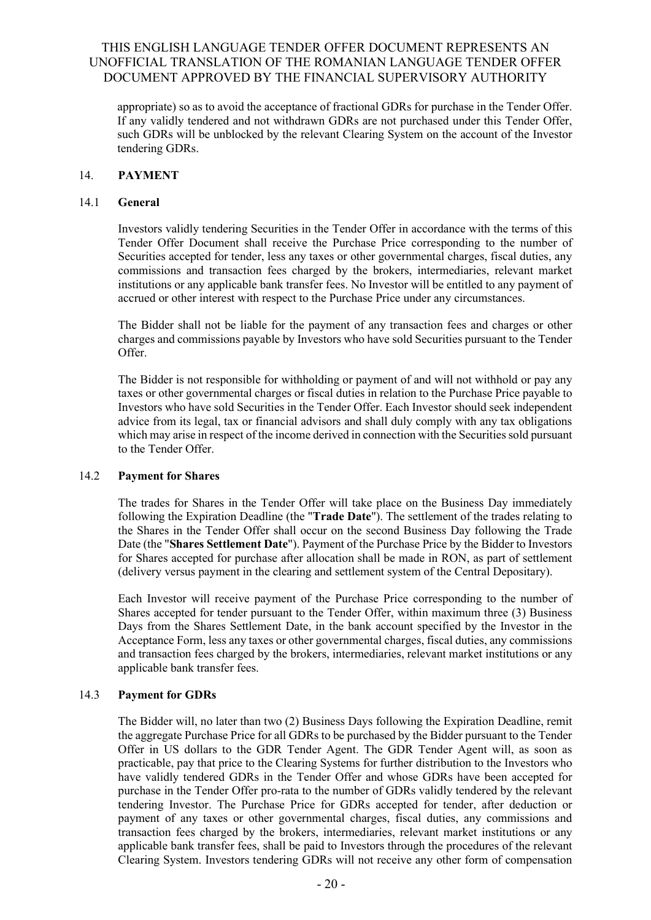appropriate) so as to avoid the acceptance of fractional GDRs for purchase in the Tender Offer. If any validly tendered and not withdrawn GDRs are not purchased under this Tender Offer, such GDRs will be unblocked by the relevant Clearing System on the account of the Investor tendering GDRs.

### <span id="page-23-0"></span>14. **PAYMENT**

### 14.1 **General**

Investors validly tendering Securities in the Tender Offer in accordance with the terms of this Tender Offer Document shall receive the Purchase Price corresponding to the number of Securities accepted for tender, less any taxes or other governmental charges, fiscal duties, any commissions and transaction fees charged by the brokers, intermediaries, relevant market institutions or any applicable bank transfer fees. No Investor will be entitled to any payment of accrued or other interest with respect to the Purchase Price under any circumstances.

The Bidder shall not be liable for the payment of any transaction fees and charges or other charges and commissions payable by Investors who have sold Securities pursuant to the Tender Offer.

The Bidder is not responsible for withholding or payment of and will not withhold or pay any taxes or other governmental charges or fiscal duties in relation to the Purchase Price payable to Investors who have sold Securities in the Tender Offer. Each Investor should seek independent advice from its legal, tax or financial advisors and shall duly comply with any tax obligations which may arise in respect of the income derived in connection with the Securities sold pursuant to the Tender Offer.

### 14.2 **Payment for Shares**

The trades for Shares in the Tender Offer will take place on the Business Day immediately following the Expiration Deadline (the "**Trade Date**"). The settlement of the trades relating to the Shares in the Tender Offer shall occur on the second Business Day following the Trade Date (the "**Shares Settlement Date**"). Payment of the Purchase Price by the Bidder to Investors for Shares accepted for purchase after allocation shall be made in RON, as part of settlement (delivery versus payment in the clearing and settlement system of the Central Depositary).

Each Investor will receive payment of the Purchase Price corresponding to the number of Shares accepted for tender pursuant to the Tender Offer, within maximum three (3) Business Days from the Shares Settlement Date, in the bank account specified by the Investor in the Acceptance Form, less any taxes or other governmental charges, fiscal duties, any commissions and transaction fees charged by the brokers, intermediaries, relevant market institutions or any applicable bank transfer fees.

### 14.3 **Payment for GDRs**

The Bidder will, no later than two (2) Business Days following the Expiration Deadline, remit the aggregate Purchase Price for all GDRs to be purchased by the Bidder pursuant to the Tender Offer in US dollars to the GDR Tender Agent. The GDR Tender Agent will, as soon as practicable, pay that price to the Clearing Systems for further distribution to the Investors who have validly tendered GDRs in the Tender Offer and whose GDRs have been accepted for purchase in the Tender Offer pro-rata to the number of GDRs validly tendered by the relevant tendering Investor. The Purchase Price for GDRs accepted for tender, after deduction or payment of any taxes or other governmental charges, fiscal duties, any commissions and transaction fees charged by the brokers, intermediaries, relevant market institutions or any applicable bank transfer fees, shall be paid to Investors through the procedures of the relevant Clearing System. Investors tendering GDRs will not receive any other form of compensation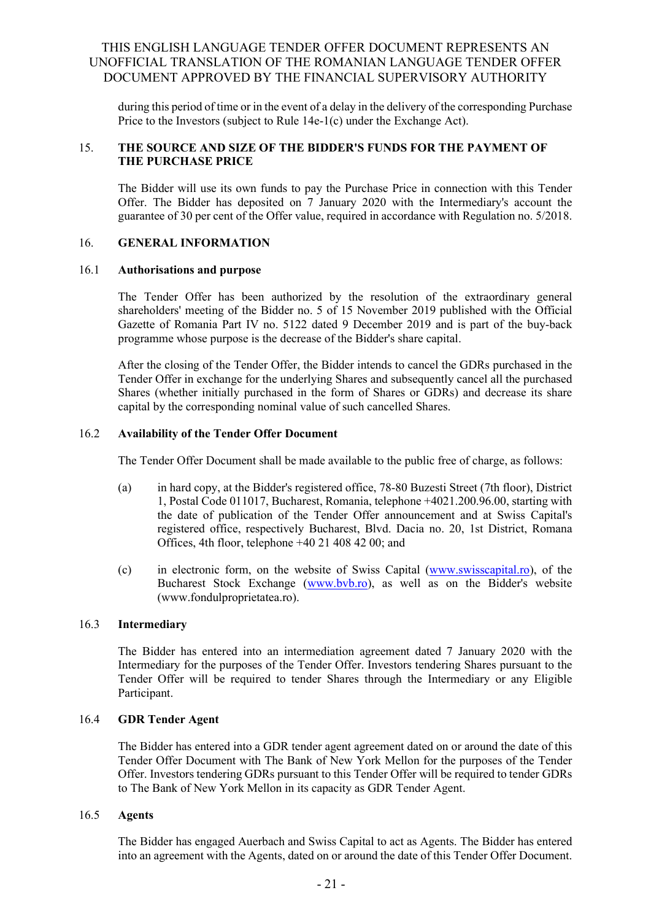during this period of time or in the event of a delay in the delivery of the corresponding Purchase Price to the Investors (subject to Rule 14e-1(c) under the Exchange Act).

### <span id="page-24-0"></span>15. **THE SOURCE AND SIZE OF THE BIDDER'S FUNDS FOR THE PAYMENT OF THE PURCHASE PRICE**

The Bidder will use its own funds to pay the Purchase Price in connection with this Tender Offer. The Bidder has deposited on 7 January 2020 with the Intermediary's account the guarantee of 30 per cent of the Offer value, required in accordance with Regulation no. 5/2018.

### <span id="page-24-1"></span>16. **GENERAL INFORMATION**

#### 16.1 **Authorisations and purpose**

The Tender Offer has been authorized by the resolution of the extraordinary general shareholders' meeting of the Bidder no. 5 of 15 November 2019 published with the Official Gazette of Romania Part IV no. 5122 dated 9 December 2019 and is part of the buy-back programme whose purpose is the decrease of the Bidder's share capital.

After the closing of the Tender Offer, the Bidder intends to cancel the GDRs purchased in the Tender Offer in exchange for the underlying Shares and subsequently cancel all the purchased Shares (whether initially purchased in the form of Shares or GDRs) and decrease its share capital by the corresponding nominal value of such cancelled Shares.

#### 16.2 **Availability of the Tender Offer Document**

The Tender Offer Document shall be made available to the public free of charge, as follows:

- (a) in hard copy, at the Bidder's registered office, 78-80 Buzesti Street (7th floor), District 1, Postal Code 011017, Bucharest, Romania, telephone +4021.200.96.00, starting with the date of publication of the Tender Offer announcement and at Swiss Capital's registered office, respectively Bucharest, Blvd. Dacia no. 20, 1st District, Romana Offices, 4th floor, telephone +40 21 408 42 00; and
- (c) in electronic form, on the website of Swiss Capital [\(www.swisscapital.ro\)](mailto:investor.relations@fondulproprietatea.ro), of the Bucharest Stock Exchange [\(www.bvb.ro\)](http://www.swisscapital.ro/), as well as on the Bidder's website [\(www.fondulproprietatea.ro\)](http://www.fondulproprietatea.ro/).

#### 16.3 **Intermediary**

The Bidder has entered into an intermediation agreement dated 7 January 2020 with the Intermediary for the purposes of the Tender Offer. Investors tendering Shares pursuant to the Tender Offer will be required to tender Shares through the Intermediary or any Eligible Participant.

### 16.4 **GDR Tender Agent**

The Bidder has entered into a GDR tender agent agreement dated on or around the date of this Tender Offer Document with The Bank of New York Mellon for the purposes of the Tender Offer. Investors tendering GDRs pursuant to this Tender Offer will be required to tender GDRs to The Bank of New York Mellon in its capacity as GDR Tender Agent.

### 16.5 **Agents**

The Bidder has engaged Auerbach and Swiss Capital to act as Agents. The Bidder has entered into an agreement with the Agents, dated on or around the date of this Tender Offer Document.